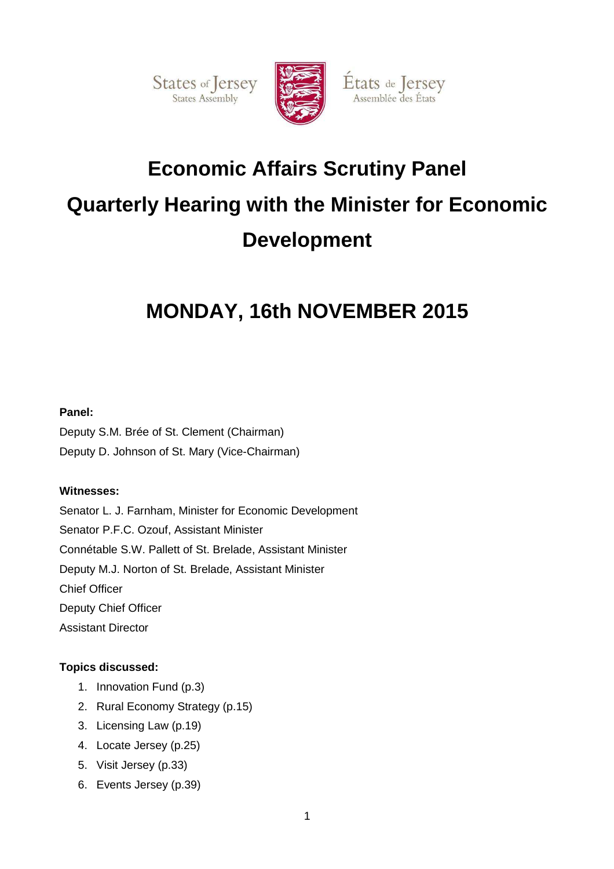States of Jersey

![](_page_0_Picture_1.jpeg)

États de Jersey

Assemblée des États

# **Economic Affairs Scrutiny Panel Quarterly Hearing with the Minister for Economic Development**

# **MONDAY, 16th NOVEMBER 2015**

# **Panel:**

Deputy S.M. Brée of St. Clement (Chairman) Deputy D. Johnson of St. Mary (Vice-Chairman)

# **Witnesses:**

Senator L. J. Farnham, Minister for Economic Development Senator P.F.C. Ozouf, Assistant Minister Connétable S.W. Pallett of St. Brelade, Assistant Minister Deputy M.J. Norton of St. Brelade, Assistant Minister Chief Officer Deputy Chief Officer Assistant Director

# **Topics discussed:**

- 1. Innovation Fund (p.3)
- 2. Rural Economy Strategy (p.15)
- 3. Licensing Law (p.19)
- 4. Locate Jersey (p.25)
- 5. Visit Jersey (p.33)
- 6. Events Jersey (p.39)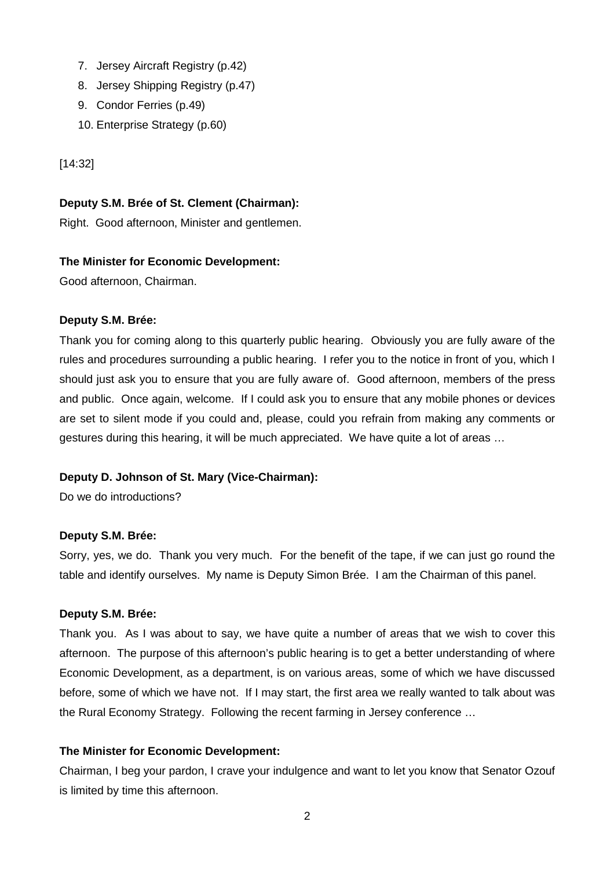- 7. Jersey Aircraft Registry (p.42)
- 8. Jersey Shipping Registry (p.47)
- 9. Condor Ferries (p.49)
- 10. Enterprise Strategy (p.60)

[14:32]

## **Deputy S.M. Brée of St. Clement (Chairman):**

Right. Good afternoon, Minister and gentlemen.

## **The Minister for Economic Development:**

Good afternoon, Chairman.

## **Deputy S.M. Brée:**

Thank you for coming along to this quarterly public hearing. Obviously you are fully aware of the rules and procedures surrounding a public hearing. I refer you to the notice in front of you, which I should just ask you to ensure that you are fully aware of. Good afternoon, members of the press and public. Once again, welcome. If I could ask you to ensure that any mobile phones or devices are set to silent mode if you could and, please, could you refrain from making any comments or gestures during this hearing, it will be much appreciated. We have quite a lot of areas …

# **Deputy D. Johnson of St. Mary (Vice-Chairman):**

Do we do introductions?

## **Deputy S.M. Brée:**

Sorry, yes, we do. Thank you very much. For the benefit of the tape, if we can just go round the table and identify ourselves. My name is Deputy Simon Brée. I am the Chairman of this panel.

## **Deputy S.M. Brée:**

Thank you. As I was about to say, we have quite a number of areas that we wish to cover this afternoon. The purpose of this afternoon's public hearing is to get a better understanding of where Economic Development, as a department, is on various areas, some of which we have discussed before, some of which we have not. If I may start, the first area we really wanted to talk about was the Rural Economy Strategy. Following the recent farming in Jersey conference …

## **The Minister for Economic Development:**

Chairman, I beg your pardon, I crave your indulgence and want to let you know that Senator Ozouf is limited by time this afternoon.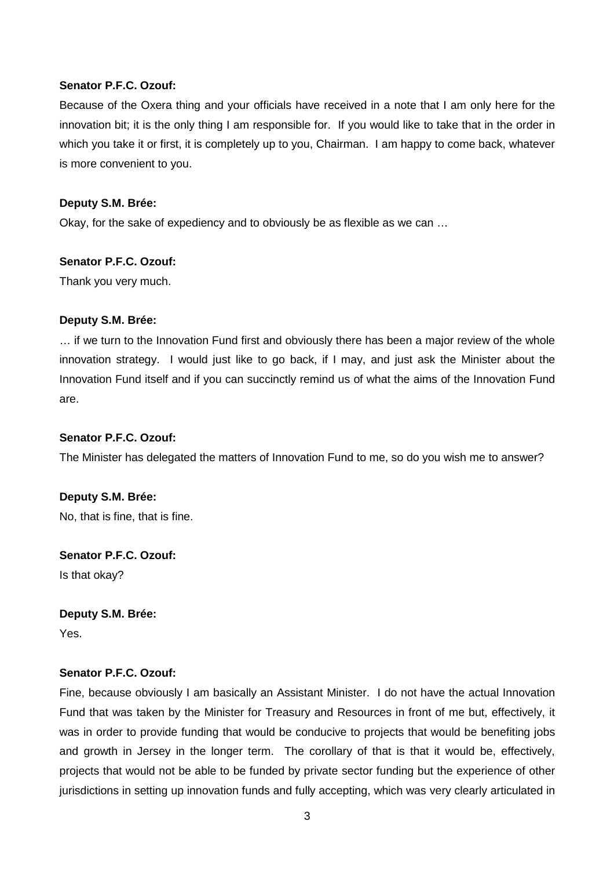#### **Senator P.F.C. Ozouf:**

Because of the Oxera thing and your officials have received in a note that I am only here for the innovation bit; it is the only thing I am responsible for. If you would like to take that in the order in which you take it or first, it is completely up to you, Chairman. I am happy to come back, whatever is more convenient to you.

#### **Deputy S.M. Brée:**

Okay, for the sake of expediency and to obviously be as flexible as we can …

#### **Senator P.F.C. Ozouf:**

Thank you very much.

## **Deputy S.M. Brée:**

… if we turn to the Innovation Fund first and obviously there has been a major review of the whole innovation strategy. I would just like to go back, if I may, and just ask the Minister about the Innovation Fund itself and if you can succinctly remind us of what the aims of the Innovation Fund are.

#### **Senator P.F.C. Ozouf:**

The Minister has delegated the matters of Innovation Fund to me, so do you wish me to answer?

## **Deputy S.M. Brée:**

No, that is fine, that is fine.

## **Senator P.F.C. Ozouf:**

Is that okay?

# **Deputy S.M. Brée:**

Yes.

## **Senator P.F.C. Ozouf:**

Fine, because obviously I am basically an Assistant Minister. I do not have the actual Innovation Fund that was taken by the Minister for Treasury and Resources in front of me but, effectively, it was in order to provide funding that would be conducive to projects that would be benefiting jobs and growth in Jersey in the longer term. The corollary of that is that it would be, effectively, projects that would not be able to be funded by private sector funding but the experience of other jurisdictions in setting up innovation funds and fully accepting, which was very clearly articulated in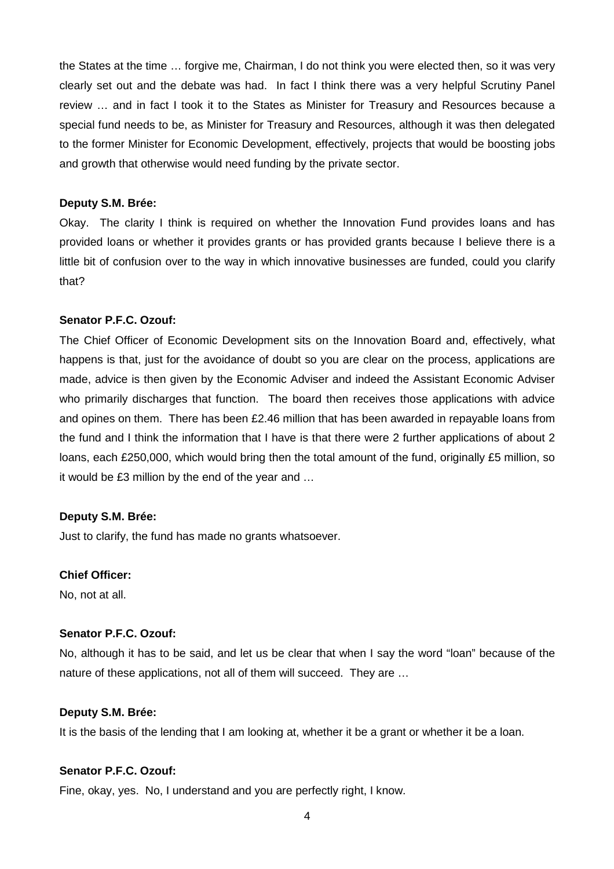the States at the time … forgive me, Chairman, I do not think you were elected then, so it was very clearly set out and the debate was had. In fact I think there was a very helpful Scrutiny Panel review … and in fact I took it to the States as Minister for Treasury and Resources because a special fund needs to be, as Minister for Treasury and Resources, although it was then delegated to the former Minister for Economic Development, effectively, projects that would be boosting jobs and growth that otherwise would need funding by the private sector.

#### **Deputy S.M. Brée:**

Okay. The clarity I think is required on whether the Innovation Fund provides loans and has provided loans or whether it provides grants or has provided grants because I believe there is a little bit of confusion over to the way in which innovative businesses are funded, could you clarify that?

#### **Senator P.F.C. Ozouf:**

The Chief Officer of Economic Development sits on the Innovation Board and, effectively, what happens is that, just for the avoidance of doubt so you are clear on the process, applications are made, advice is then given by the Economic Adviser and indeed the Assistant Economic Adviser who primarily discharges that function. The board then receives those applications with advice and opines on them. There has been £2.46 million that has been awarded in repayable loans from the fund and I think the information that I have is that there were 2 further applications of about 2 loans, each £250,000, which would bring then the total amount of the fund, originally £5 million, so it would be £3 million by the end of the year and …

## **Deputy S.M. Brée:**

Just to clarify, the fund has made no grants whatsoever.

## **Chief Officer:**

No, not at all.

#### **Senator P.F.C. Ozouf:**

No, although it has to be said, and let us be clear that when I say the word "loan" because of the nature of these applications, not all of them will succeed. They are …

#### **Deputy S.M. Brée:**

It is the basis of the lending that I am looking at, whether it be a grant or whether it be a loan.

## **Senator P.F.C. Ozouf:**

Fine, okay, yes. No, I understand and you are perfectly right, I know.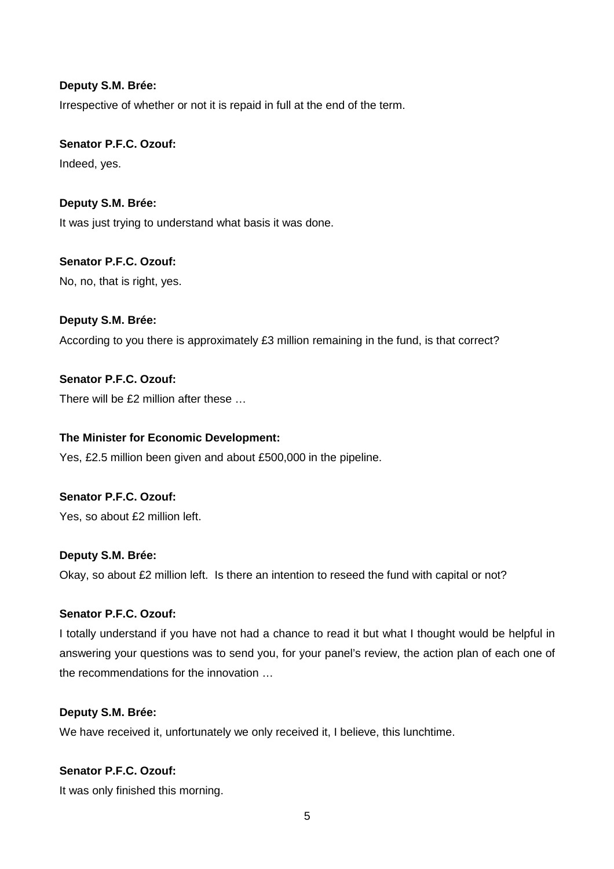Irrespective of whether or not it is repaid in full at the end of the term.

# **Senator P.F.C. Ozouf:**

Indeed, yes.

# **Deputy S.M. Brée:**

It was just trying to understand what basis it was done.

# **Senator P.F.C. Ozouf:**

No, no, that is right, yes.

# **Deputy S.M. Brée:**

According to you there is approximately £3 million remaining in the fund, is that correct?

# **Senator P.F.C. Ozouf:**

There will be £2 million after these …

# **The Minister for Economic Development:**

Yes, £2.5 million been given and about £500,000 in the pipeline.

# **Senator P.F.C. Ozouf:**

Yes, so about £2 million left.

# **Deputy S.M. Brée:**

Okay, so about £2 million left. Is there an intention to reseed the fund with capital or not?

# **Senator P.F.C. Ozouf:**

I totally understand if you have not had a chance to read it but what I thought would be helpful in answering your questions was to send you, for your panel's review, the action plan of each one of the recommendations for the innovation …

## **Deputy S.M. Brée:**

We have received it, unfortunately we only received it, I believe, this lunchtime.

# **Senator P.F.C. Ozouf:**

It was only finished this morning.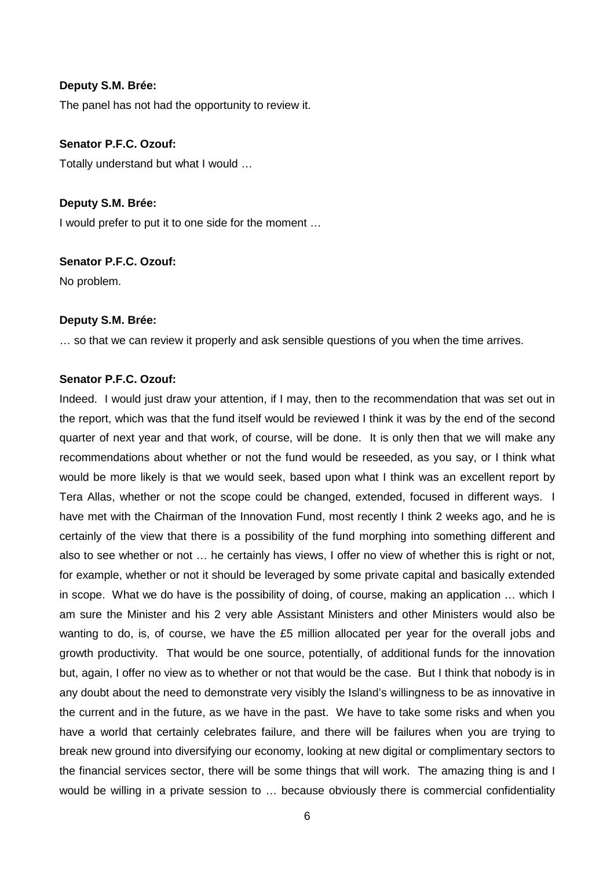The panel has not had the opportunity to review it.

## **Senator P.F.C. Ozouf:**

Totally understand but what I would …

#### **Deputy S.M. Brée:**

I would prefer to put it to one side for the moment …

#### **Senator P.F.C. Ozouf:**

No problem.

#### **Deputy S.M. Brée:**

… so that we can review it properly and ask sensible questions of you when the time arrives.

## **Senator P.F.C. Ozouf:**

Indeed. I would just draw your attention, if I may, then to the recommendation that was set out in the report, which was that the fund itself would be reviewed I think it was by the end of the second quarter of next year and that work, of course, will be done. It is only then that we will make any recommendations about whether or not the fund would be reseeded, as you say, or I think what would be more likely is that we would seek, based upon what I think was an excellent report by Tera Allas, whether or not the scope could be changed, extended, focused in different ways. I have met with the Chairman of the Innovation Fund, most recently I think 2 weeks ago, and he is certainly of the view that there is a possibility of the fund morphing into something different and also to see whether or not … he certainly has views, I offer no view of whether this is right or not, for example, whether or not it should be leveraged by some private capital and basically extended in scope. What we do have is the possibility of doing, of course, making an application … which I am sure the Minister and his 2 very able Assistant Ministers and other Ministers would also be wanting to do, is, of course, we have the £5 million allocated per year for the overall jobs and growth productivity. That would be one source, potentially, of additional funds for the innovation but, again, I offer no view as to whether or not that would be the case. But I think that nobody is in any doubt about the need to demonstrate very visibly the Island's willingness to be as innovative in the current and in the future, as we have in the past. We have to take some risks and when you have a world that certainly celebrates failure, and there will be failures when you are trying to break new ground into diversifying our economy, looking at new digital or complimentary sectors to the financial services sector, there will be some things that will work. The amazing thing is and I would be willing in a private session to … because obviously there is commercial confidentiality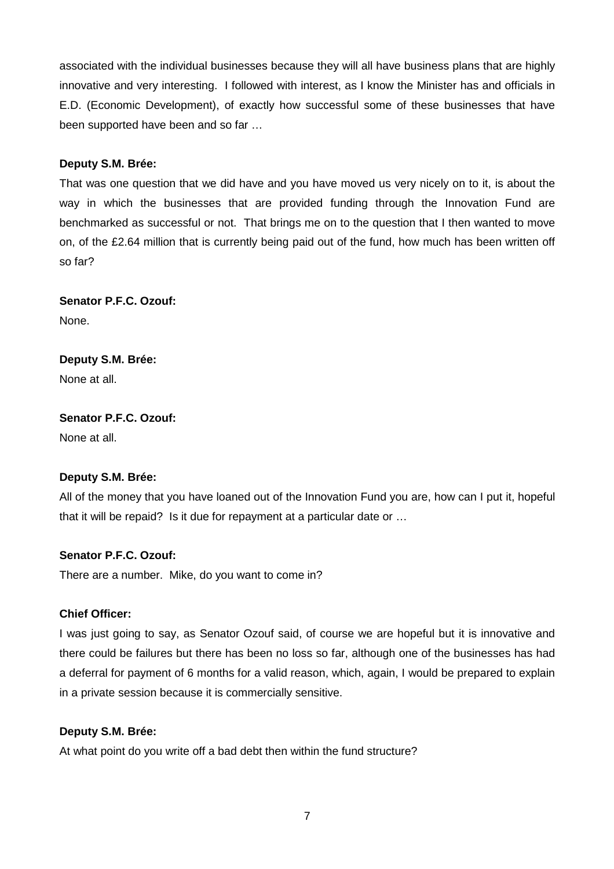associated with the individual businesses because they will all have business plans that are highly innovative and very interesting. I followed with interest, as I know the Minister has and officials in E.D. (Economic Development), of exactly how successful some of these businesses that have been supported have been and so far …

## **Deputy S.M. Brée:**

That was one question that we did have and you have moved us very nicely on to it, is about the way in which the businesses that are provided funding through the Innovation Fund are benchmarked as successful or not. That brings me on to the question that I then wanted to move on, of the £2.64 million that is currently being paid out of the fund, how much has been written off so far?

**Senator P.F.C. Ozouf:**  None.

**Deputy S.M. Brée:**  None at all.

**Senator P.F.C. Ozouf:**  None at all.

## **Deputy S.M. Brée:**

All of the money that you have loaned out of the Innovation Fund you are, how can I put it, hopeful that it will be repaid? Is it due for repayment at a particular date or …

# **Senator P.F.C. Ozouf:**

There are a number. Mike, do you want to come in?

## **Chief Officer:**

I was just going to say, as Senator Ozouf said, of course we are hopeful but it is innovative and there could be failures but there has been no loss so far, although one of the businesses has had a deferral for payment of 6 months for a valid reason, which, again, I would be prepared to explain in a private session because it is commercially sensitive.

## **Deputy S.M. Brée:**

At what point do you write off a bad debt then within the fund structure?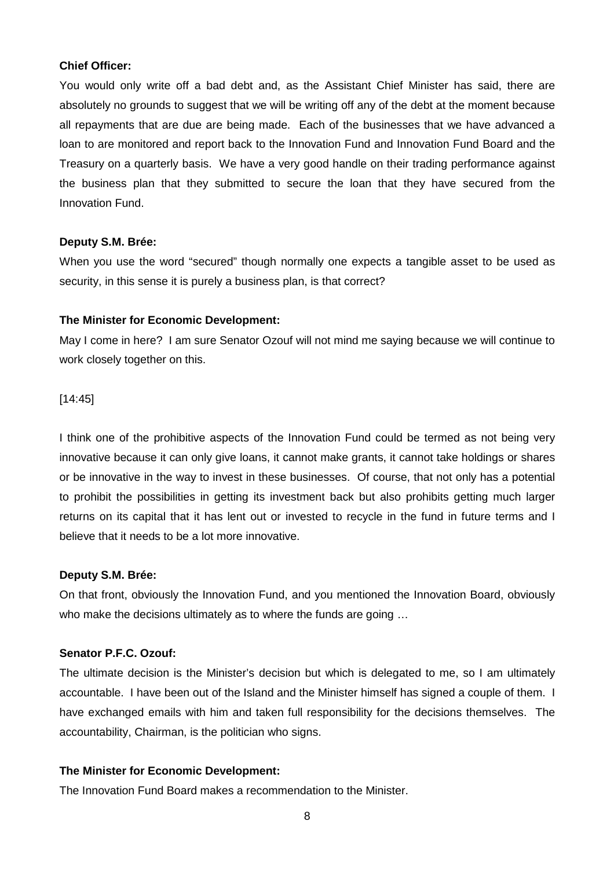#### **Chief Officer:**

You would only write off a bad debt and, as the Assistant Chief Minister has said, there are absolutely no grounds to suggest that we will be writing off any of the debt at the moment because all repayments that are due are being made. Each of the businesses that we have advanced a loan to are monitored and report back to the Innovation Fund and Innovation Fund Board and the Treasury on a quarterly basis. We have a very good handle on their trading performance against the business plan that they submitted to secure the loan that they have secured from the Innovation Fund.

#### **Deputy S.M. Brée:**

When you use the word "secured" though normally one expects a tangible asset to be used as security, in this sense it is purely a business plan, is that correct?

#### **The Minister for Economic Development:**

May I come in here? I am sure Senator Ozouf will not mind me saying because we will continue to work closely together on this.

#### [14:45]

I think one of the prohibitive aspects of the Innovation Fund could be termed as not being very innovative because it can only give loans, it cannot make grants, it cannot take holdings or shares or be innovative in the way to invest in these businesses. Of course, that not only has a potential to prohibit the possibilities in getting its investment back but also prohibits getting much larger returns on its capital that it has lent out or invested to recycle in the fund in future terms and I believe that it needs to be a lot more innovative.

#### **Deputy S.M. Brée:**

On that front, obviously the Innovation Fund, and you mentioned the Innovation Board, obviously who make the decisions ultimately as to where the funds are going …

## **Senator P.F.C. Ozouf:**

The ultimate decision is the Minister's decision but which is delegated to me, so I am ultimately accountable. I have been out of the Island and the Minister himself has signed a couple of them. I have exchanged emails with him and taken full responsibility for the decisions themselves. The accountability, Chairman, is the politician who signs.

## **The Minister for Economic Development:**

The Innovation Fund Board makes a recommendation to the Minister.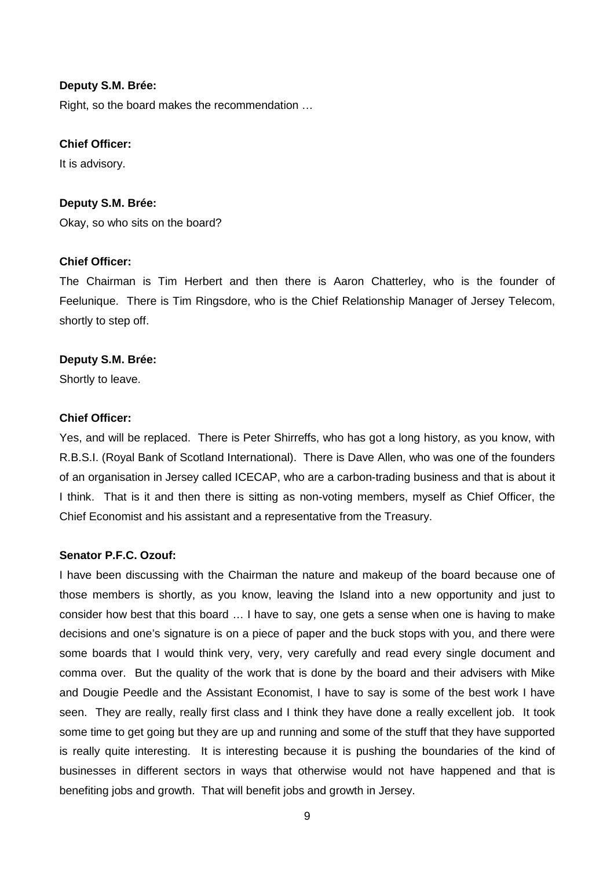Right, so the board makes the recommendation …

#### **Chief Officer:**

It is advisory.

## **Deputy S.M. Brée:**

Okay, so who sits on the board?

## **Chief Officer:**

The Chairman is Tim Herbert and then there is Aaron Chatterley, who is the founder of Feelunique. There is Tim Ringsdore, who is the Chief Relationship Manager of Jersey Telecom, shortly to step off.

## **Deputy S.M. Brée:**

Shortly to leave.

## **Chief Officer:**

Yes, and will be replaced. There is Peter Shirreffs, who has got a long history, as you know, with R.B.S.I. (Royal Bank of Scotland International). There is Dave Allen, who was one of the founders of an organisation in Jersey called ICECAP, who are a carbon-trading business and that is about it I think. That is it and then there is sitting as non-voting members, myself as Chief Officer, the Chief Economist and his assistant and a representative from the Treasury.

## **Senator P.F.C. Ozouf:**

I have been discussing with the Chairman the nature and makeup of the board because one of those members is shortly, as you know, leaving the Island into a new opportunity and just to consider how best that this board … I have to say, one gets a sense when one is having to make decisions and one's signature is on a piece of paper and the buck stops with you, and there were some boards that I would think very, very, very carefully and read every single document and comma over. But the quality of the work that is done by the board and their advisers with Mike and Dougie Peedle and the Assistant Economist, I have to say is some of the best work I have seen. They are really, really first class and I think they have done a really excellent job. It took some time to get going but they are up and running and some of the stuff that they have supported is really quite interesting. It is interesting because it is pushing the boundaries of the kind of businesses in different sectors in ways that otherwise would not have happened and that is benefiting jobs and growth. That will benefit jobs and growth in Jersey.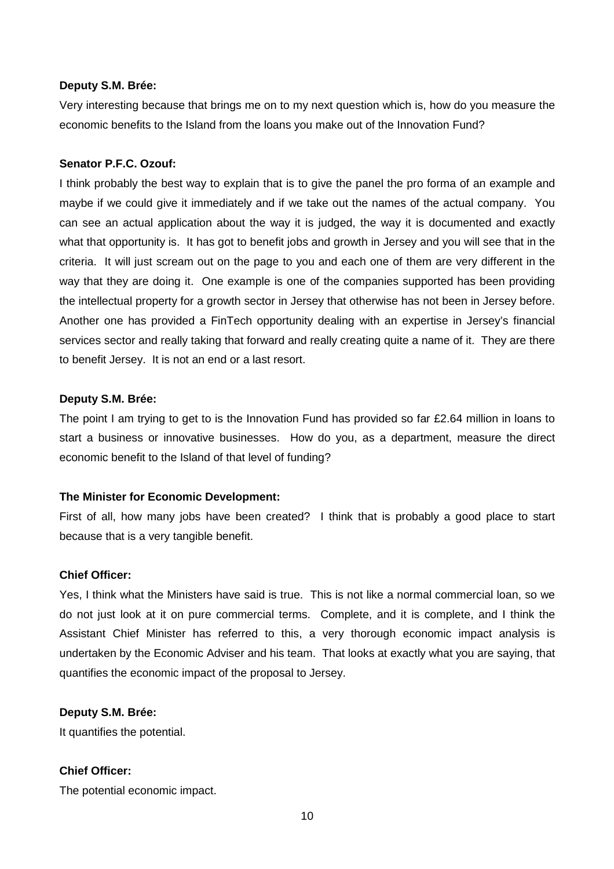Very interesting because that brings me on to my next question which is, how do you measure the economic benefits to the Island from the loans you make out of the Innovation Fund?

## **Senator P.F.C. Ozouf:**

I think probably the best way to explain that is to give the panel the pro forma of an example and maybe if we could give it immediately and if we take out the names of the actual company. You can see an actual application about the way it is judged, the way it is documented and exactly what that opportunity is. It has got to benefit jobs and growth in Jersey and you will see that in the criteria. It will just scream out on the page to you and each one of them are very different in the way that they are doing it. One example is one of the companies supported has been providing the intellectual property for a growth sector in Jersey that otherwise has not been in Jersey before. Another one has provided a FinTech opportunity dealing with an expertise in Jersey's financial services sector and really taking that forward and really creating quite a name of it. They are there to benefit Jersey. It is not an end or a last resort.

#### **Deputy S.M. Brée:**

The point I am trying to get to is the Innovation Fund has provided so far £2.64 million in loans to start a business or innovative businesses. How do you, as a department, measure the direct economic benefit to the Island of that level of funding?

#### **The Minister for Economic Development:**

First of all, how many jobs have been created? I think that is probably a good place to start because that is a very tangible benefit.

#### **Chief Officer:**

Yes, I think what the Ministers have said is true. This is not like a normal commercial loan, so we do not just look at it on pure commercial terms. Complete, and it is complete, and I think the Assistant Chief Minister has referred to this, a very thorough economic impact analysis is undertaken by the Economic Adviser and his team. That looks at exactly what you are saying, that quantifies the economic impact of the proposal to Jersey.

#### **Deputy S.M. Brée:**

It quantifies the potential.

## **Chief Officer:**

The potential economic impact.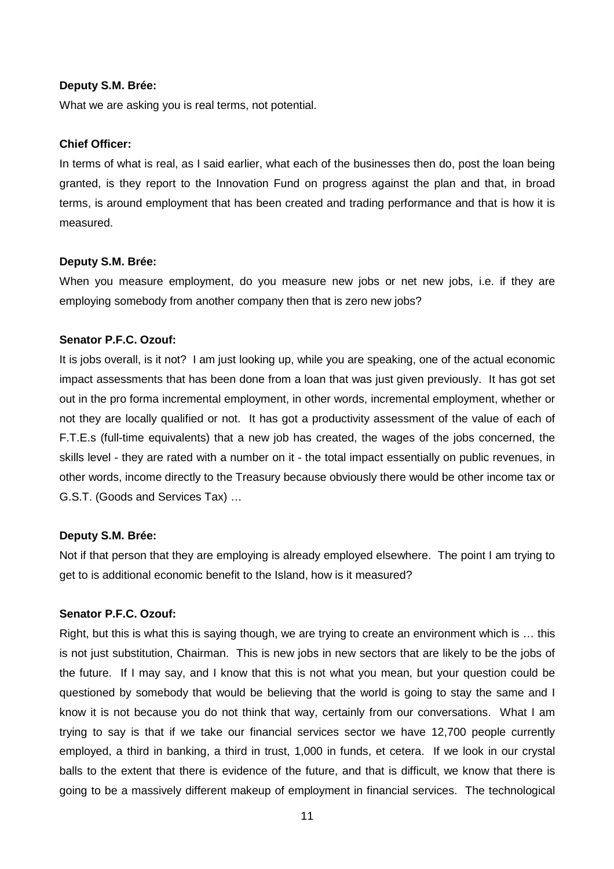What we are asking you is real terms, not potential.

## **Chief Officer:**

In terms of what is real, as I said earlier, what each of the businesses then do, post the loan being granted, is they report to the Innovation Fund on progress against the plan and that, in broad terms, is around employment that has been created and trading performance and that is how it is measured.

#### **Deputy S.M. Brée:**

When you measure employment, do you measure new jobs or net new jobs, i.e. if they are employing somebody from another company then that is zero new jobs?

#### **Senator P.F.C. Ozouf:**

It is jobs overall, is it not? I am just looking up, while you are speaking, one of the actual economic impact assessments that has been done from a loan that was just given previously. It has got set out in the pro forma incremental employment, in other words, incremental employment, whether or not they are locally qualified or not. It has got a productivity assessment of the value of each of F.T.E.s (full-time equivalents) that a new job has created, the wages of the jobs concerned, the skills level - they are rated with a number on it - the total impact essentially on public revenues, in other words, income directly to the Treasury because obviously there would be other income tax or G.S.T. (Goods and Services Tax) …

#### **Deputy S.M. Brée:**

Not if that person that they are employing is already employed elsewhere. The point I am trying to get to is additional economic benefit to the Island, how is it measured?

#### **Senator P.F.C. Ozouf:**

Right, but this is what this is saying though, we are trying to create an environment which is … this is not just substitution, Chairman. This is new jobs in new sectors that are likely to be the jobs of the future. If I may say, and I know that this is not what you mean, but your question could be questioned by somebody that would be believing that the world is going to stay the same and I know it is not because you do not think that way, certainly from our conversations. What I am trying to say is that if we take our financial services sector we have 12,700 people currently employed, a third in banking, a third in trust, 1,000 in funds, et cetera. If we look in our crystal balls to the extent that there is evidence of the future, and that is difficult, we know that there is going to be a massively different makeup of employment in financial services. The technological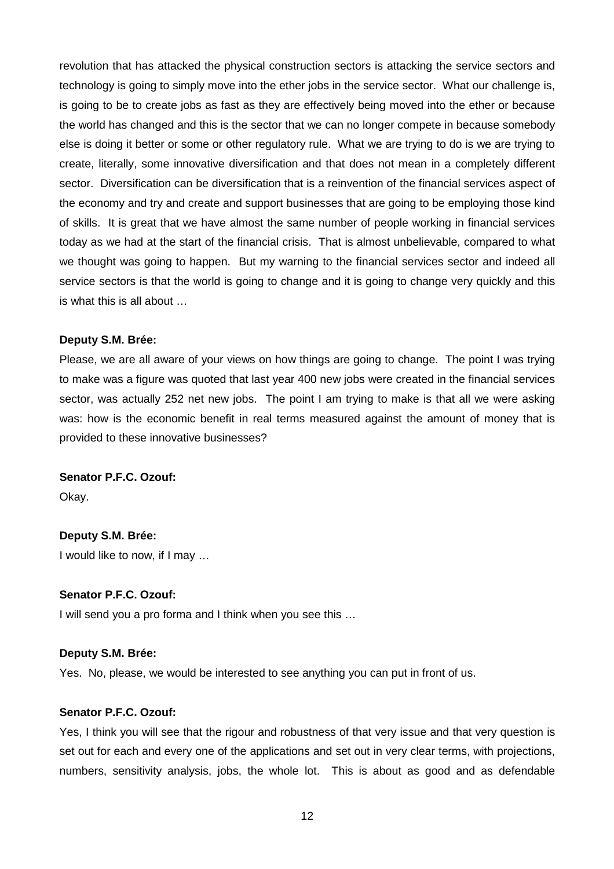revolution that has attacked the physical construction sectors is attacking the service sectors and technology is going to simply move into the ether jobs in the service sector. What our challenge is, is going to be to create jobs as fast as they are effectively being moved into the ether or because the world has changed and this is the sector that we can no longer compete in because somebody else is doing it better or some or other regulatory rule. What we are trying to do is we are trying to create, literally, some innovative diversification and that does not mean in a completely different sector. Diversification can be diversification that is a reinvention of the financial services aspect of the economy and try and create and support businesses that are going to be employing those kind of skills. It is great that we have almost the same number of people working in financial services today as we had at the start of the financial crisis. That is almost unbelievable, compared to what we thought was going to happen. But my warning to the financial services sector and indeed all service sectors is that the world is going to change and it is going to change very quickly and this is what this is all about …

#### **Deputy S.M. Brée:**

Please, we are all aware of your views on how things are going to change. The point I was trying to make was a figure was quoted that last year 400 new jobs were created in the financial services sector, was actually 252 net new jobs. The point I am trying to make is that all we were asking was: how is the economic benefit in real terms measured against the amount of money that is provided to these innovative businesses?

#### **Senator P.F.C. Ozouf:**

Okay.

# **Deputy S.M. Brée:**  I would like to now, if I may …

## **Senator P.F.C. Ozouf:**

I will send you a pro forma and I think when you see this …

#### **Deputy S.M. Brée:**

Yes. No, please, we would be interested to see anything you can put in front of us.

#### **Senator P.F.C. Ozouf:**

Yes, I think you will see that the rigour and robustness of that very issue and that very question is set out for each and every one of the applications and set out in very clear terms, with projections, numbers, sensitivity analysis, jobs, the whole lot. This is about as good and as defendable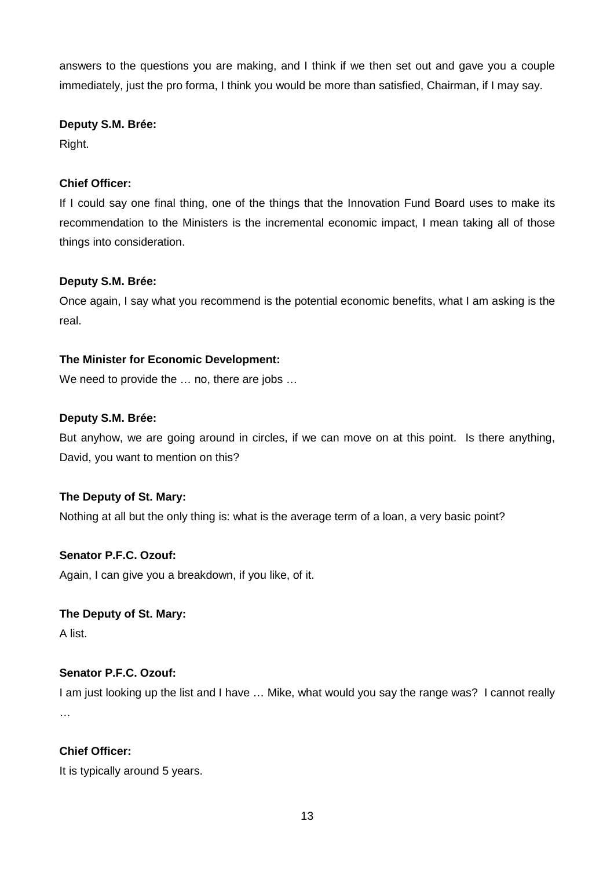answers to the questions you are making, and I think if we then set out and gave you a couple immediately, just the pro forma, I think you would be more than satisfied, Chairman, if I may say.

## **Deputy S.M. Brée:**

Right.

# **Chief Officer:**

If I could say one final thing, one of the things that the Innovation Fund Board uses to make its recommendation to the Ministers is the incremental economic impact, I mean taking all of those things into consideration.

## **Deputy S.M. Brée:**

Once again, I say what you recommend is the potential economic benefits, what I am asking is the real.

## **The Minister for Economic Development:**

We need to provide the ... no, there are jobs ...

## **Deputy S.M. Brée:**

But anyhow, we are going around in circles, if we can move on at this point. Is there anything, David, you want to mention on this?

## **The Deputy of St. Mary:**

Nothing at all but the only thing is: what is the average term of a loan, a very basic point?

## **Senator P.F.C. Ozouf:**

Again, I can give you a breakdown, if you like, of it.

## **The Deputy of St. Mary:**

A list.

# **Senator P.F.C. Ozouf:**

I am just looking up the list and I have … Mike, what would you say the range was? I cannot really …

# **Chief Officer:**

It is typically around 5 years.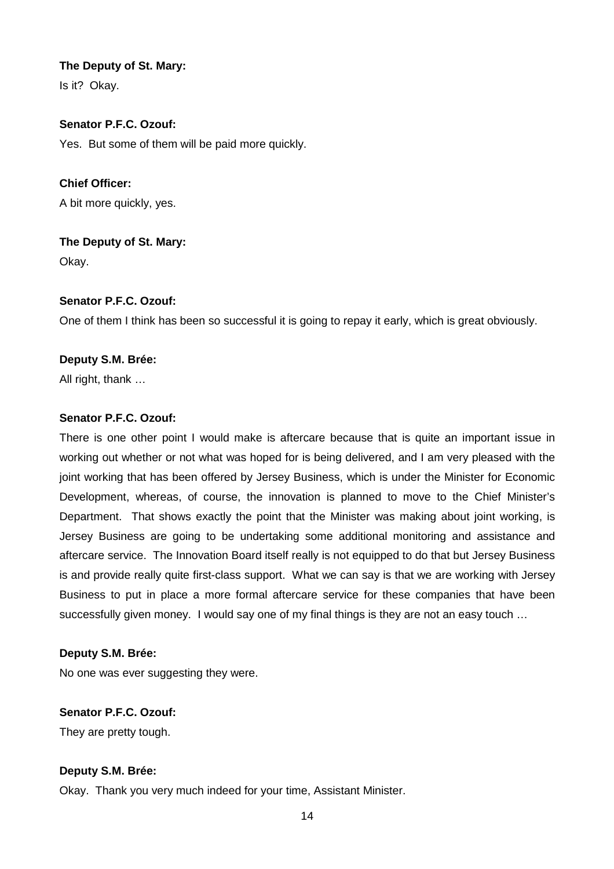## **The Deputy of St. Mary:**

Is it? Okay.

# **Senator P.F.C. Ozouf:**

Yes. But some of them will be paid more quickly.

**Chief Officer:**  A bit more quickly, yes.

**The Deputy of St. Mary:**  Okay.

## **Senator P.F.C. Ozouf:**

One of them I think has been so successful it is going to repay it early, which is great obviously.

## **Deputy S.M. Brée:**

All right, thank …

## **Senator P.F.C. Ozouf:**

There is one other point I would make is aftercare because that is quite an important issue in working out whether or not what was hoped for is being delivered, and I am very pleased with the joint working that has been offered by Jersey Business, which is under the Minister for Economic Development, whereas, of course, the innovation is planned to move to the Chief Minister's Department. That shows exactly the point that the Minister was making about joint working, is Jersey Business are going to be undertaking some additional monitoring and assistance and aftercare service. The Innovation Board itself really is not equipped to do that but Jersey Business is and provide really quite first-class support. What we can say is that we are working with Jersey Business to put in place a more formal aftercare service for these companies that have been successfully given money. I would say one of my final things is they are not an easy touch ...

## **Deputy S.M. Brée:**

No one was ever suggesting they were.

## **Senator P.F.C. Ozouf:**

They are pretty tough.

## **Deputy S.M. Brée:**

Okay. Thank you very much indeed for your time, Assistant Minister.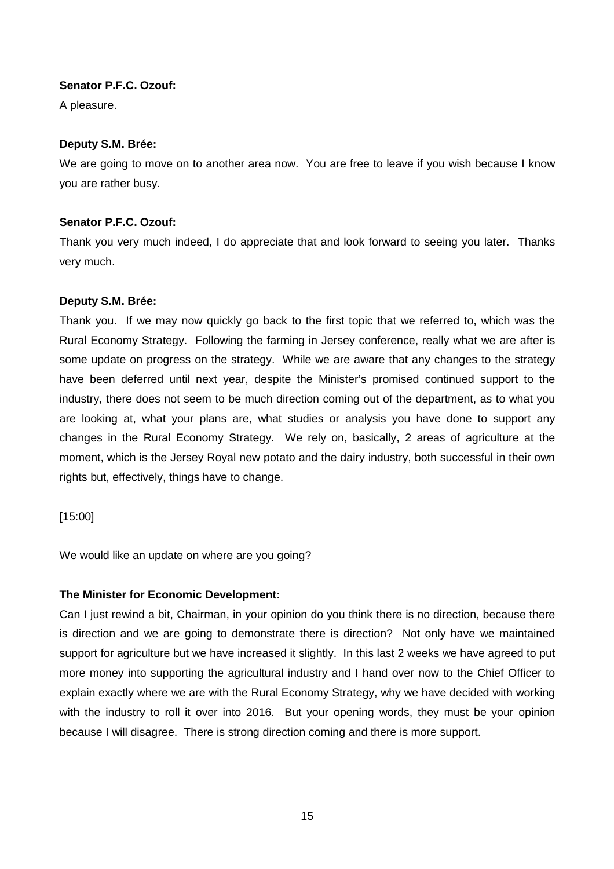## **Senator P.F.C. Ozouf:**

A pleasure.

## **Deputy S.M. Brée:**

We are going to move on to another area now. You are free to leave if you wish because I know you are rather busy.

# **Senator P.F.C. Ozouf:**

Thank you very much indeed, I do appreciate that and look forward to seeing you later. Thanks very much.

## **Deputy S.M. Brée:**

Thank you. If we may now quickly go back to the first topic that we referred to, which was the Rural Economy Strategy. Following the farming in Jersey conference, really what we are after is some update on progress on the strategy. While we are aware that any changes to the strategy have been deferred until next year, despite the Minister's promised continued support to the industry, there does not seem to be much direction coming out of the department, as to what you are looking at, what your plans are, what studies or analysis you have done to support any changes in the Rural Economy Strategy. We rely on, basically, 2 areas of agriculture at the moment, which is the Jersey Royal new potato and the dairy industry, both successful in their own rights but, effectively, things have to change.

[15:00]

We would like an update on where are you going?

# **The Minister for Economic Development:**

Can I just rewind a bit, Chairman, in your opinion do you think there is no direction, because there is direction and we are going to demonstrate there is direction? Not only have we maintained support for agriculture but we have increased it slightly. In this last 2 weeks we have agreed to put more money into supporting the agricultural industry and I hand over now to the Chief Officer to explain exactly where we are with the Rural Economy Strategy, why we have decided with working with the industry to roll it over into 2016. But your opening words, they must be your opinion because I will disagree. There is strong direction coming and there is more support.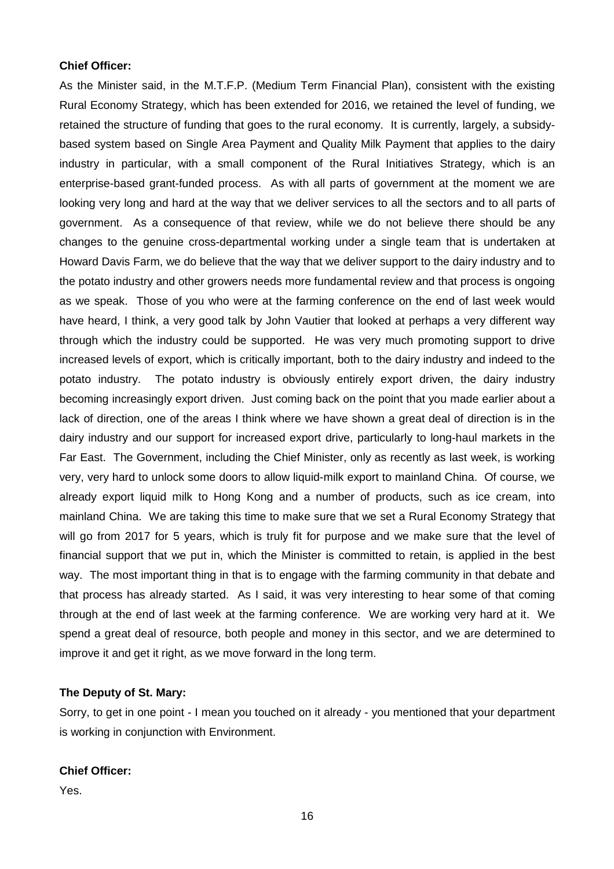#### **Chief Officer:**

As the Minister said, in the M.T.F.P. (Medium Term Financial Plan), consistent with the existing Rural Economy Strategy, which has been extended for 2016, we retained the level of funding, we retained the structure of funding that goes to the rural economy. It is currently, largely, a subsidybased system based on Single Area Payment and Quality Milk Payment that applies to the dairy industry in particular, with a small component of the Rural Initiatives Strategy, which is an enterprise-based grant-funded process. As with all parts of government at the moment we are looking very long and hard at the way that we deliver services to all the sectors and to all parts of government. As a consequence of that review, while we do not believe there should be any changes to the genuine cross-departmental working under a single team that is undertaken at Howard Davis Farm, we do believe that the way that we deliver support to the dairy industry and to the potato industry and other growers needs more fundamental review and that process is ongoing as we speak. Those of you who were at the farming conference on the end of last week would have heard, I think, a very good talk by John Vautier that looked at perhaps a very different way through which the industry could be supported. He was very much promoting support to drive increased levels of export, which is critically important, both to the dairy industry and indeed to the potato industry. The potato industry is obviously entirely export driven, the dairy industry becoming increasingly export driven. Just coming back on the point that you made earlier about a lack of direction, one of the areas I think where we have shown a great deal of direction is in the dairy industry and our support for increased export drive, particularly to long-haul markets in the Far East. The Government, including the Chief Minister, only as recently as last week, is working very, very hard to unlock some doors to allow liquid-milk export to mainland China. Of course, we already export liquid milk to Hong Kong and a number of products, such as ice cream, into mainland China. We are taking this time to make sure that we set a Rural Economy Strategy that will go from 2017 for 5 years, which is truly fit for purpose and we make sure that the level of financial support that we put in, which the Minister is committed to retain, is applied in the best way. The most important thing in that is to engage with the farming community in that debate and that process has already started. As I said, it was very interesting to hear some of that coming through at the end of last week at the farming conference. We are working very hard at it. We spend a great deal of resource, both people and money in this sector, and we are determined to improve it and get it right, as we move forward in the long term.

## **The Deputy of St. Mary:**

Sorry, to get in one point - I mean you touched on it already - you mentioned that your department is working in conjunction with Environment.

#### **Chief Officer:**

Yes.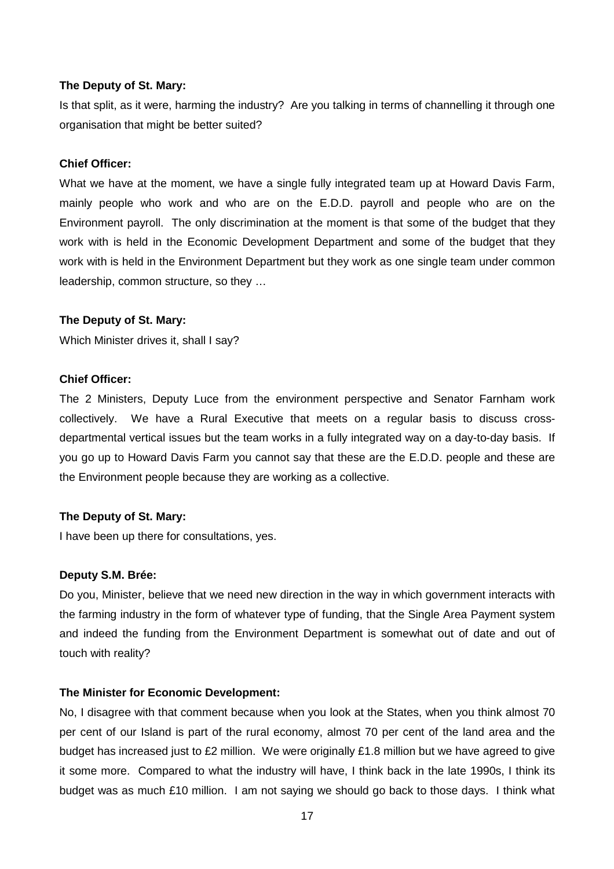#### **The Deputy of St. Mary:**

Is that split, as it were, harming the industry? Are you talking in terms of channelling it through one organisation that might be better suited?

#### **Chief Officer:**

What we have at the moment, we have a single fully integrated team up at Howard Davis Farm, mainly people who work and who are on the E.D.D. payroll and people who are on the Environment payroll. The only discrimination at the moment is that some of the budget that they work with is held in the Economic Development Department and some of the budget that they work with is held in the Environment Department but they work as one single team under common leadership, common structure, so they …

#### **The Deputy of St. Mary:**

Which Minister drives it, shall I say?

## **Chief Officer:**

The 2 Ministers, Deputy Luce from the environment perspective and Senator Farnham work collectively. We have a Rural Executive that meets on a regular basis to discuss crossdepartmental vertical issues but the team works in a fully integrated way on a day-to-day basis. If you go up to Howard Davis Farm you cannot say that these are the E.D.D. people and these are the Environment people because they are working as a collective.

#### **The Deputy of St. Mary:**

I have been up there for consultations, yes.

#### **Deputy S.M. Brée:**

Do you, Minister, believe that we need new direction in the way in which government interacts with the farming industry in the form of whatever type of funding, that the Single Area Payment system and indeed the funding from the Environment Department is somewhat out of date and out of touch with reality?

#### **The Minister for Economic Development:**

No, I disagree with that comment because when you look at the States, when you think almost 70 per cent of our Island is part of the rural economy, almost 70 per cent of the land area and the budget has increased just to £2 million. We were originally £1.8 million but we have agreed to give it some more. Compared to what the industry will have, I think back in the late 1990s, I think its budget was as much £10 million. I am not saying we should go back to those days. I think what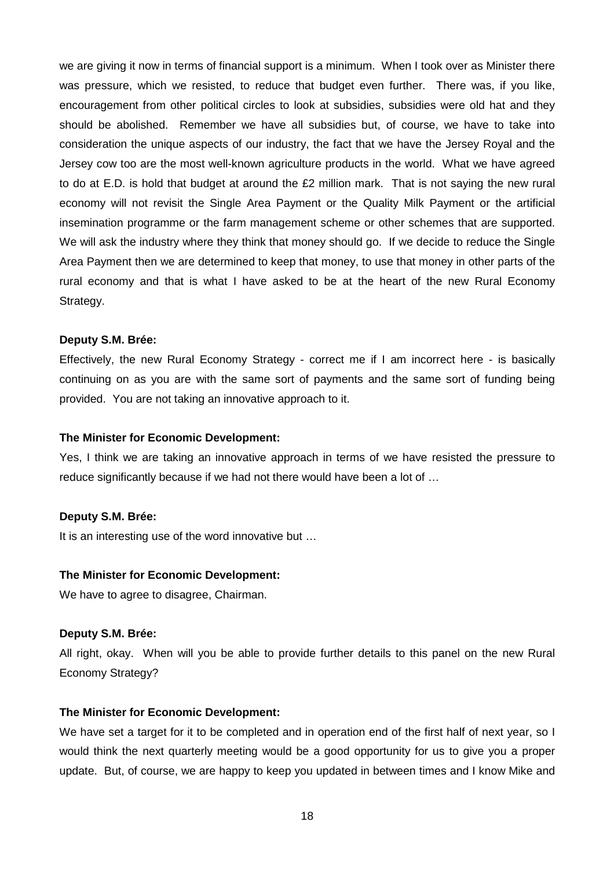we are giving it now in terms of financial support is a minimum. When I took over as Minister there was pressure, which we resisted, to reduce that budget even further. There was, if you like, encouragement from other political circles to look at subsidies, subsidies were old hat and they should be abolished. Remember we have all subsidies but, of course, we have to take into consideration the unique aspects of our industry, the fact that we have the Jersey Royal and the Jersey cow too are the most well-known agriculture products in the world. What we have agreed to do at E.D. is hold that budget at around the £2 million mark. That is not saying the new rural economy will not revisit the Single Area Payment or the Quality Milk Payment or the artificial insemination programme or the farm management scheme or other schemes that are supported. We will ask the industry where they think that money should go. If we decide to reduce the Single Area Payment then we are determined to keep that money, to use that money in other parts of the rural economy and that is what I have asked to be at the heart of the new Rural Economy Strategy.

#### **Deputy S.M. Brée:**

Effectively, the new Rural Economy Strategy - correct me if I am incorrect here - is basically continuing on as you are with the same sort of payments and the same sort of funding being provided. You are not taking an innovative approach to it.

#### **The Minister for Economic Development:**

Yes, I think we are taking an innovative approach in terms of we have resisted the pressure to reduce significantly because if we had not there would have been a lot of …

#### **Deputy S.M. Brée:**

It is an interesting use of the word innovative but …

#### **The Minister for Economic Development:**

We have to agree to disagree, Chairman.

#### **Deputy S.M. Brée:**

All right, okay. When will you be able to provide further details to this panel on the new Rural Economy Strategy?

#### **The Minister for Economic Development:**

We have set a target for it to be completed and in operation end of the first half of next year, so I would think the next quarterly meeting would be a good opportunity for us to give you a proper update. But, of course, we are happy to keep you updated in between times and I know Mike and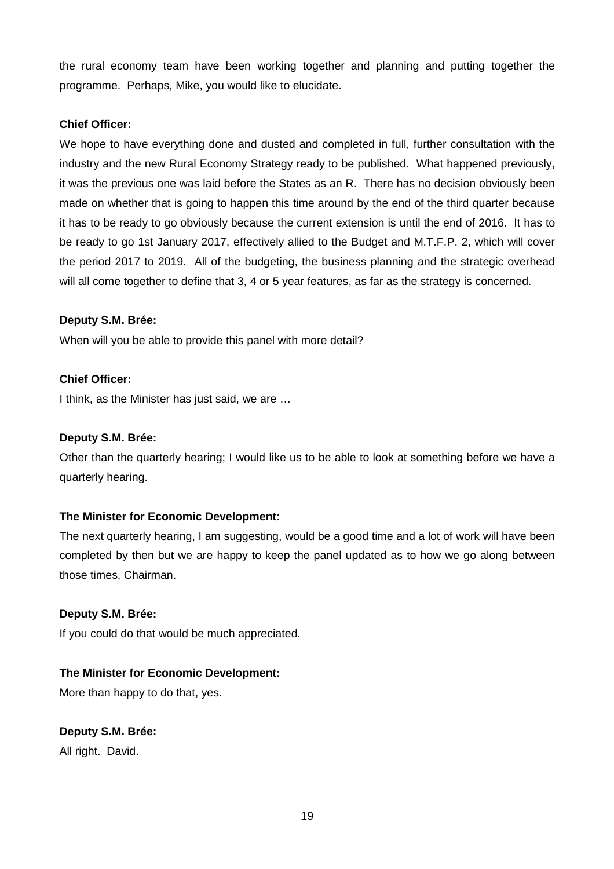the rural economy team have been working together and planning and putting together the programme. Perhaps, Mike, you would like to elucidate.

# **Chief Officer:**

We hope to have everything done and dusted and completed in full, further consultation with the industry and the new Rural Economy Strategy ready to be published. What happened previously, it was the previous one was laid before the States as an R. There has no decision obviously been made on whether that is going to happen this time around by the end of the third quarter because it has to be ready to go obviously because the current extension is until the end of 2016. It has to be ready to go 1st January 2017, effectively allied to the Budget and M.T.F.P. 2, which will cover the period 2017 to 2019. All of the budgeting, the business planning and the strategic overhead will all come together to define that 3, 4 or 5 year features, as far as the strategy is concerned.

## **Deputy S.M. Brée:**

When will you be able to provide this panel with more detail?

## **Chief Officer:**

I think, as the Minister has just said, we are …

## **Deputy S.M. Brée:**

Other than the quarterly hearing; I would like us to be able to look at something before we have a quarterly hearing.

## **The Minister for Economic Development:**

The next quarterly hearing, I am suggesting, would be a good time and a lot of work will have been completed by then but we are happy to keep the panel updated as to how we go along between those times, Chairman.

## **Deputy S.M. Brée:**

If you could do that would be much appreciated.

# **The Minister for Economic Development:**

More than happy to do that, yes.

# **Deputy S.M. Brée:**

All right. David.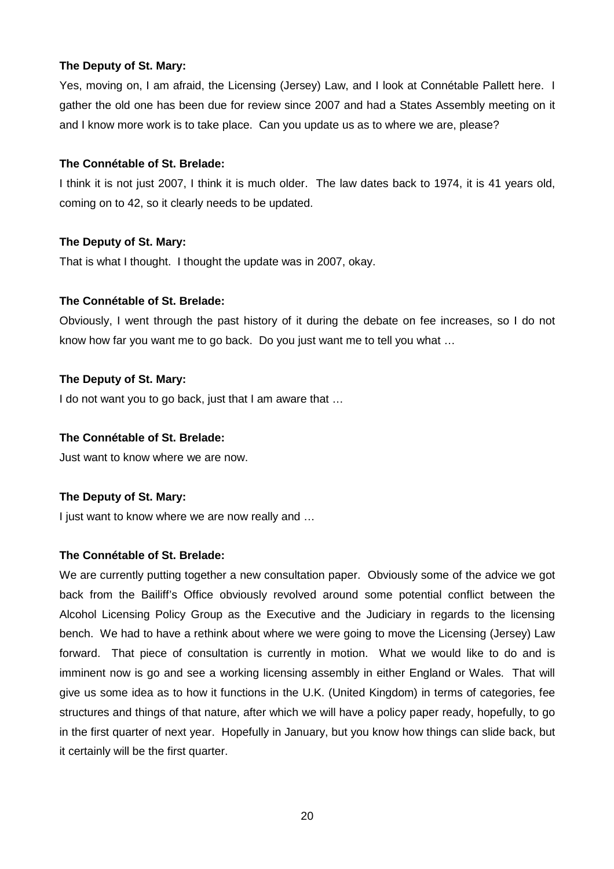## **The Deputy of St. Mary:**

Yes, moving on, I am afraid, the Licensing (Jersey) Law, and I look at Connétable Pallett here. I gather the old one has been due for review since 2007 and had a States Assembly meeting on it and I know more work is to take place. Can you update us as to where we are, please?

#### **The Connétable of St. Brelade:**

I think it is not just 2007, I think it is much older. The law dates back to 1974, it is 41 years old, coming on to 42, so it clearly needs to be updated.

#### **The Deputy of St. Mary:**

That is what I thought. I thought the update was in 2007, okay.

#### **The Connétable of St. Brelade:**

Obviously, I went through the past history of it during the debate on fee increases, so I do not know how far you want me to go back. Do you just want me to tell you what …

#### **The Deputy of St. Mary:**

I do not want you to go back, just that I am aware that ...

#### **The Connétable of St. Brelade:**

Just want to know where we are now.

## **The Deputy of St. Mary:**

I just want to know where we are now really and …

#### **The Connétable of St. Brelade:**

We are currently putting together a new consultation paper. Obviously some of the advice we got back from the Bailiff's Office obviously revolved around some potential conflict between the Alcohol Licensing Policy Group as the Executive and the Judiciary in regards to the licensing bench. We had to have a rethink about where we were going to move the Licensing (Jersey) Law forward. That piece of consultation is currently in motion. What we would like to do and is imminent now is go and see a working licensing assembly in either England or Wales. That will give us some idea as to how it functions in the U.K. (United Kingdom) in terms of categories, fee structures and things of that nature, after which we will have a policy paper ready, hopefully, to go in the first quarter of next year. Hopefully in January, but you know how things can slide back, but it certainly will be the first quarter.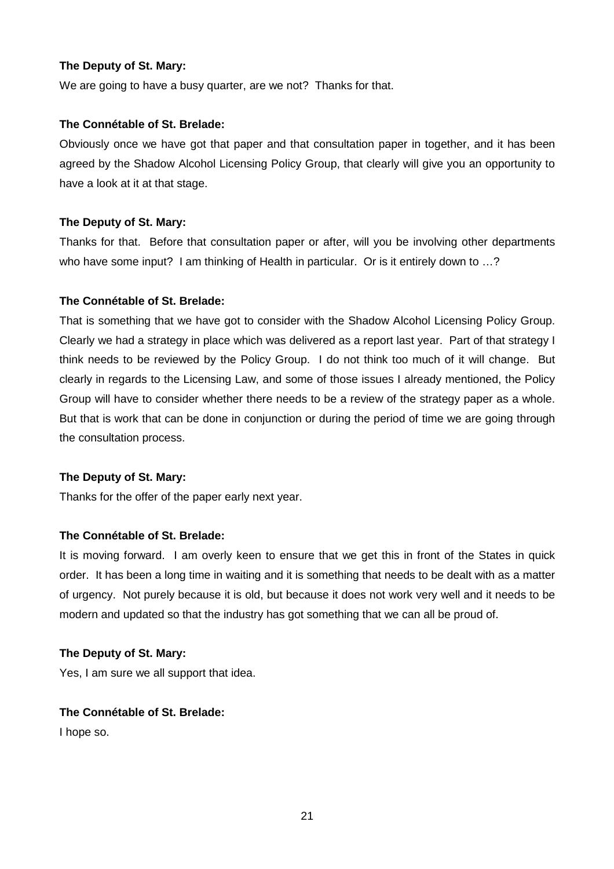## **The Deputy of St. Mary:**

We are going to have a busy quarter, are we not? Thanks for that.

#### **The Connétable of St. Brelade:**

Obviously once we have got that paper and that consultation paper in together, and it has been agreed by the Shadow Alcohol Licensing Policy Group, that clearly will give you an opportunity to have a look at it at that stage.

## **The Deputy of St. Mary:**

Thanks for that. Before that consultation paper or after, will you be involving other departments who have some input? I am thinking of Health in particular. Or is it entirely down to ...?

#### **The Connétable of St. Brelade:**

That is something that we have got to consider with the Shadow Alcohol Licensing Policy Group. Clearly we had a strategy in place which was delivered as a report last year. Part of that strategy I think needs to be reviewed by the Policy Group. I do not think too much of it will change. But clearly in regards to the Licensing Law, and some of those issues I already mentioned, the Policy Group will have to consider whether there needs to be a review of the strategy paper as a whole. But that is work that can be done in conjunction or during the period of time we are going through the consultation process.

## **The Deputy of St. Mary:**

Thanks for the offer of the paper early next year.

## **The Connétable of St. Brelade:**

It is moving forward. I am overly keen to ensure that we get this in front of the States in quick order. It has been a long time in waiting and it is something that needs to be dealt with as a matter of urgency. Not purely because it is old, but because it does not work very well and it needs to be modern and updated so that the industry has got something that we can all be proud of.

#### **The Deputy of St. Mary:**

Yes, I am sure we all support that idea.

## **The Connétable of St. Brelade:**

I hope so.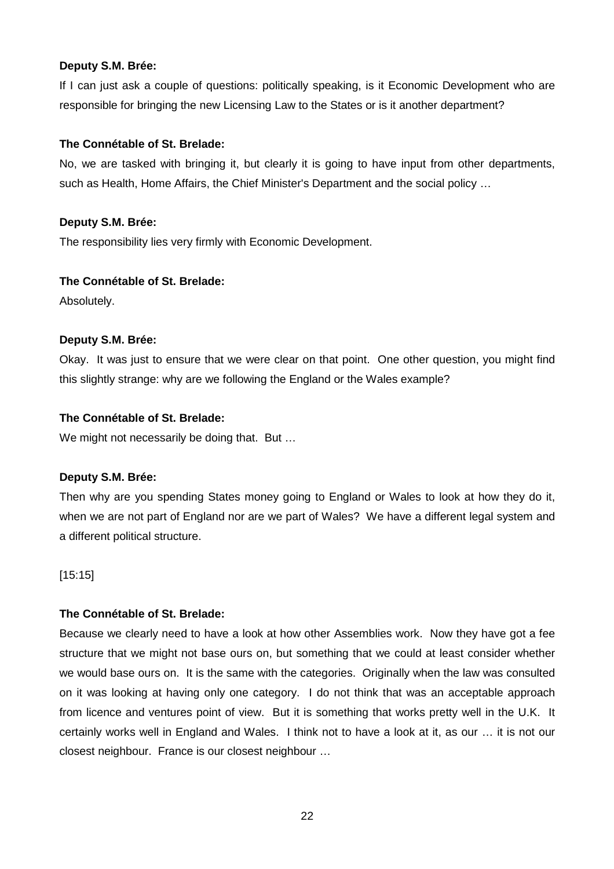If I can just ask a couple of questions: politically speaking, is it Economic Development who are responsible for bringing the new Licensing Law to the States or is it another department?

## **The Connétable of St. Brelade:**

No, we are tasked with bringing it, but clearly it is going to have input from other departments, such as Health, Home Affairs, the Chief Minister's Department and the social policy …

#### **Deputy S.M. Brée:**

The responsibility lies very firmly with Economic Development.

#### **The Connétable of St. Brelade:**

Absolutely.

#### **Deputy S.M. Brée:**

Okay. It was just to ensure that we were clear on that point. One other question, you might find this slightly strange: why are we following the England or the Wales example?

#### **The Connétable of St. Brelade:**

We might not necessarily be doing that. But ...

## **Deputy S.M. Brée:**

Then why are you spending States money going to England or Wales to look at how they do it, when we are not part of England nor are we part of Wales? We have a different legal system and a different political structure.

[15:15]

## **The Connétable of St. Brelade:**

Because we clearly need to have a look at how other Assemblies work. Now they have got a fee structure that we might not base ours on, but something that we could at least consider whether we would base ours on. It is the same with the categories. Originally when the law was consulted on it was looking at having only one category. I do not think that was an acceptable approach from licence and ventures point of view. But it is something that works pretty well in the U.K. It certainly works well in England and Wales. I think not to have a look at it, as our … it is not our closest neighbour. France is our closest neighbour …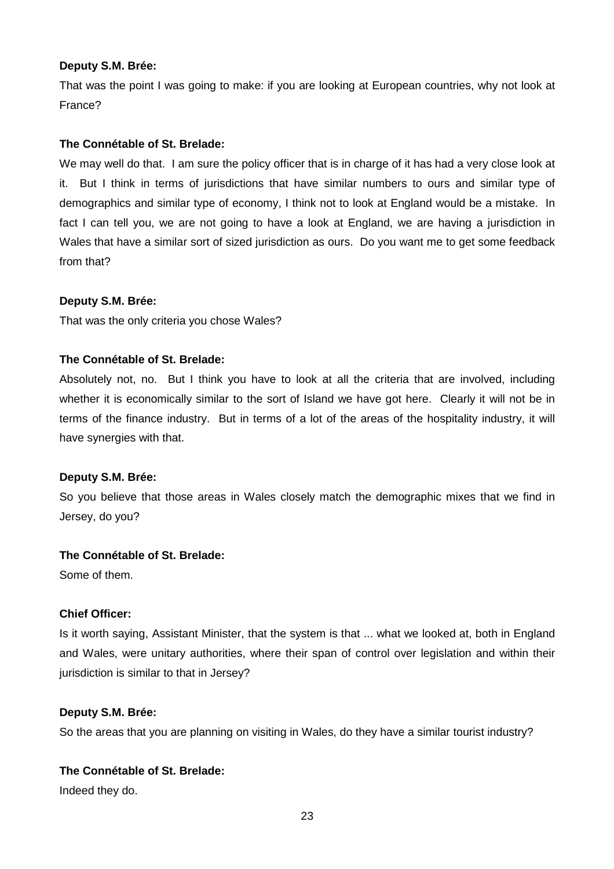That was the point I was going to make: if you are looking at European countries, why not look at France?

## **The Connétable of St. Brelade:**

We may well do that. I am sure the policy officer that is in charge of it has had a very close look at it. But I think in terms of jurisdictions that have similar numbers to ours and similar type of demographics and similar type of economy, I think not to look at England would be a mistake. In fact I can tell you, we are not going to have a look at England, we are having a jurisdiction in Wales that have a similar sort of sized jurisdiction as ours. Do you want me to get some feedback from that?

#### **Deputy S.M. Brée:**

That was the only criteria you chose Wales?

#### **The Connétable of St. Brelade:**

Absolutely not, no. But I think you have to look at all the criteria that are involved, including whether it is economically similar to the sort of Island we have got here. Clearly it will not be in terms of the finance industry. But in terms of a lot of the areas of the hospitality industry, it will have synergies with that.

#### **Deputy S.M. Brée:**

So you believe that those areas in Wales closely match the demographic mixes that we find in Jersey, do you?

#### **The Connétable of St. Brelade:**

Some of them.

## **Chief Officer:**

Is it worth saying, Assistant Minister, that the system is that ... what we looked at, both in England and Wales, were unitary authorities, where their span of control over legislation and within their jurisdiction is similar to that in Jersey?

#### **Deputy S.M. Brée:**

So the areas that you are planning on visiting in Wales, do they have a similar tourist industry?

## **The Connétable of St. Brelade:**

Indeed they do.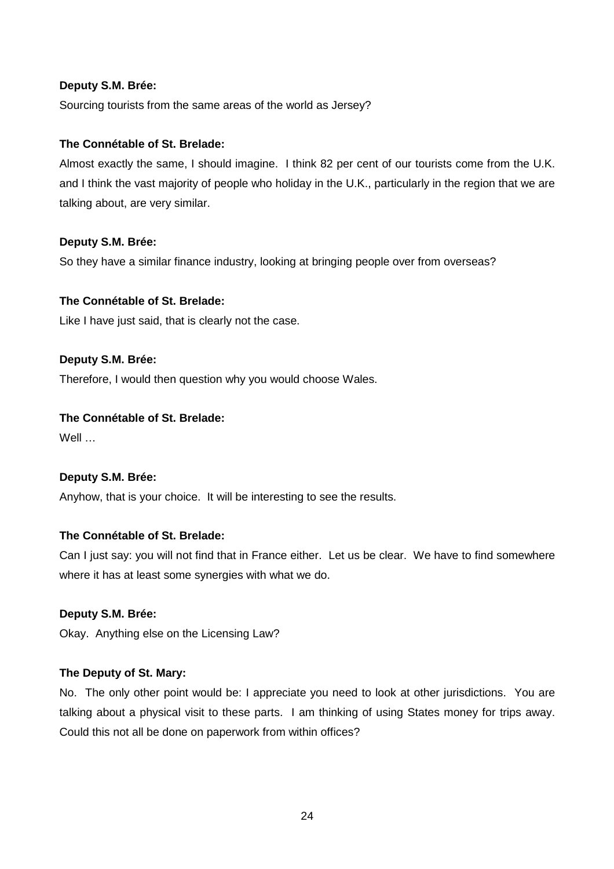Sourcing tourists from the same areas of the world as Jersey?

# **The Connétable of St. Brelade:**

Almost exactly the same, I should imagine. I think 82 per cent of our tourists come from the U.K. and I think the vast majority of people who holiday in the U.K., particularly in the region that we are talking about, are very similar.

## **Deputy S.M. Brée:**

So they have a similar finance industry, looking at bringing people over from overseas?

## **The Connétable of St. Brelade:**

Like I have just said, that is clearly not the case.

## **Deputy S.M. Brée:**

Therefore, I would then question why you would choose Wales.

## **The Connétable of St. Brelade:**

Well …

# **Deputy S.M. Brée:**

Anyhow, that is your choice. It will be interesting to see the results.

# **The Connétable of St. Brelade:**

Can I just say: you will not find that in France either. Let us be clear. We have to find somewhere where it has at least some synergies with what we do.

## **Deputy S.M. Brée:**

Okay. Anything else on the Licensing Law?

## **The Deputy of St. Mary:**

No. The only other point would be: I appreciate you need to look at other jurisdictions. You are talking about a physical visit to these parts. I am thinking of using States money for trips away. Could this not all be done on paperwork from within offices?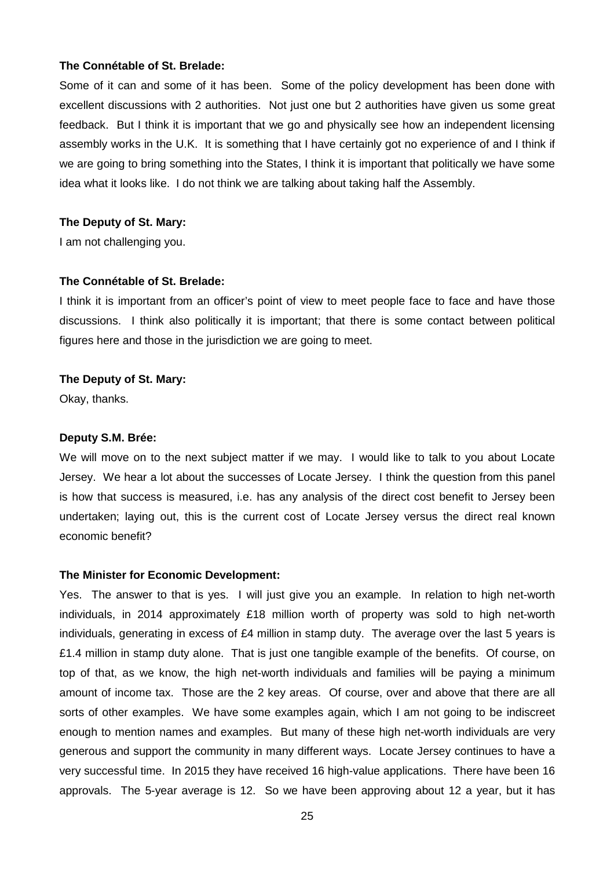#### **The Connétable of St. Brelade:**

Some of it can and some of it has been. Some of the policy development has been done with excellent discussions with 2 authorities. Not just one but 2 authorities have given us some great feedback. But I think it is important that we go and physically see how an independent licensing assembly works in the U.K. It is something that I have certainly got no experience of and I think if we are going to bring something into the States, I think it is important that politically we have some idea what it looks like. I do not think we are talking about taking half the Assembly.

#### **The Deputy of St. Mary:**

I am not challenging you.

#### **The Connétable of St. Brelade:**

I think it is important from an officer's point of view to meet people face to face and have those discussions. I think also politically it is important; that there is some contact between political figures here and those in the jurisdiction we are going to meet.

#### **The Deputy of St. Mary:**

Okay, thanks.

#### **Deputy S.M. Brée:**

We will move on to the next subject matter if we may. I would like to talk to you about Locate Jersey. We hear a lot about the successes of Locate Jersey. I think the question from this panel is how that success is measured, i.e. has any analysis of the direct cost benefit to Jersey been undertaken; laying out, this is the current cost of Locate Jersey versus the direct real known economic benefit?

#### **The Minister for Economic Development:**

Yes. The answer to that is yes. I will just give you an example. In relation to high net-worth individuals, in 2014 approximately £18 million worth of property was sold to high net-worth individuals, generating in excess of £4 million in stamp duty. The average over the last 5 years is £1.4 million in stamp duty alone. That is just one tangible example of the benefits. Of course, on top of that, as we know, the high net-worth individuals and families will be paying a minimum amount of income tax. Those are the 2 key areas. Of course, over and above that there are all sorts of other examples. We have some examples again, which I am not going to be indiscreet enough to mention names and examples. But many of these high net-worth individuals are very generous and support the community in many different ways. Locate Jersey continues to have a very successful time. In 2015 they have received 16 high-value applications. There have been 16 approvals. The 5-year average is 12. So we have been approving about 12 a year, but it has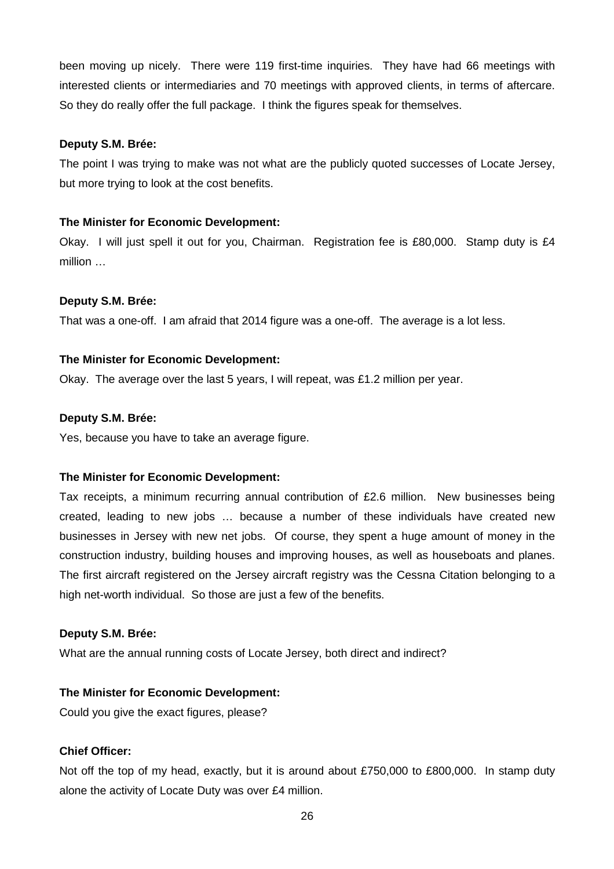been moving up nicely. There were 119 first-time inquiries. They have had 66 meetings with interested clients or intermediaries and 70 meetings with approved clients, in terms of aftercare. So they do really offer the full package. I think the figures speak for themselves.

#### **Deputy S.M. Brée:**

The point I was trying to make was not what are the publicly quoted successes of Locate Jersey, but more trying to look at the cost benefits.

#### **The Minister for Economic Development:**

Okay. I will just spell it out for you, Chairman. Registration fee is £80,000. Stamp duty is £4 million …

#### **Deputy S.M. Brée:**

That was a one-off. I am afraid that 2014 figure was a one-off. The average is a lot less.

#### **The Minister for Economic Development:**

Okay. The average over the last 5 years, I will repeat, was £1.2 million per year.

#### **Deputy S.M. Brée:**

Yes, because you have to take an average figure.

#### **The Minister for Economic Development:**

Tax receipts, a minimum recurring annual contribution of £2.6 million. New businesses being created, leading to new jobs … because a number of these individuals have created new businesses in Jersey with new net jobs. Of course, they spent a huge amount of money in the construction industry, building houses and improving houses, as well as houseboats and planes. The first aircraft registered on the Jersey aircraft registry was the Cessna Citation belonging to a high net-worth individual. So those are just a few of the benefits.

#### **Deputy S.M. Brée:**

What are the annual running costs of Locate Jersey, both direct and indirect?

#### **The Minister for Economic Development:**

Could you give the exact figures, please?

## **Chief Officer:**

Not off the top of my head, exactly, but it is around about £750,000 to £800,000. In stamp duty alone the activity of Locate Duty was over £4 million.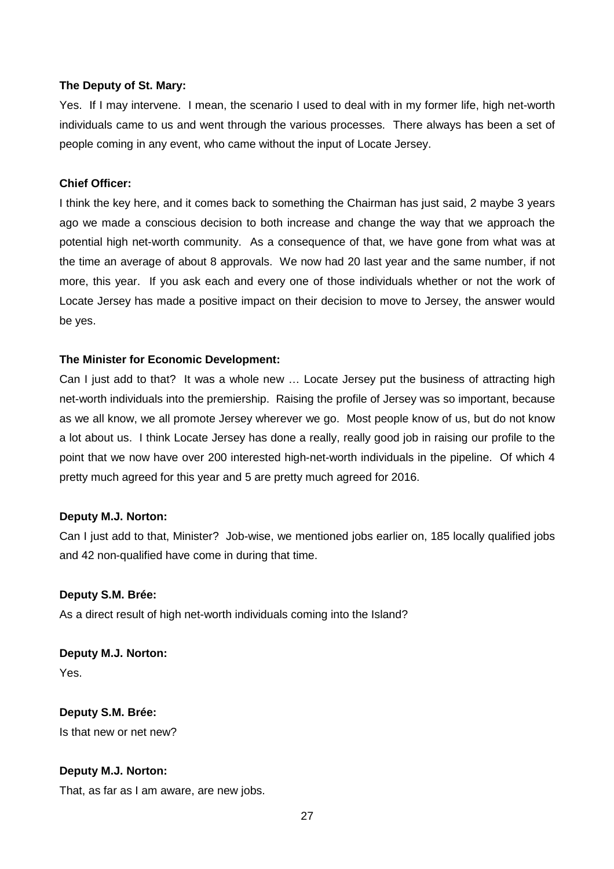#### **The Deputy of St. Mary:**

Yes. If I may intervene. I mean, the scenario I used to deal with in my former life, high net-worth individuals came to us and went through the various processes. There always has been a set of people coming in any event, who came without the input of Locate Jersey.

#### **Chief Officer:**

I think the key here, and it comes back to something the Chairman has just said, 2 maybe 3 years ago we made a conscious decision to both increase and change the way that we approach the potential high net-worth community. As a consequence of that, we have gone from what was at the time an average of about 8 approvals. We now had 20 last year and the same number, if not more, this year. If you ask each and every one of those individuals whether or not the work of Locate Jersey has made a positive impact on their decision to move to Jersey, the answer would be yes.

#### **The Minister for Economic Development:**

Can I just add to that? It was a whole new ... Locate Jersey put the business of attracting high net-worth individuals into the premiership. Raising the profile of Jersey was so important, because as we all know, we all promote Jersey wherever we go. Most people know of us, but do not know a lot about us. I think Locate Jersey has done a really, really good job in raising our profile to the point that we now have over 200 interested high-net-worth individuals in the pipeline. Of which 4 pretty much agreed for this year and 5 are pretty much agreed for 2016.

#### **Deputy M.J. Norton:**

Can I just add to that, Minister? Job-wise, we mentioned jobs earlier on, 185 locally qualified jobs and 42 non-qualified have come in during that time.

#### **Deputy S.M. Brée:**

As a direct result of high net-worth individuals coming into the Island?

**Deputy M.J. Norton:** Yes.

**Deputy S.M. Brée:** Is that new or net new?

#### **Deputy M.J. Norton:**

That, as far as I am aware, are new jobs.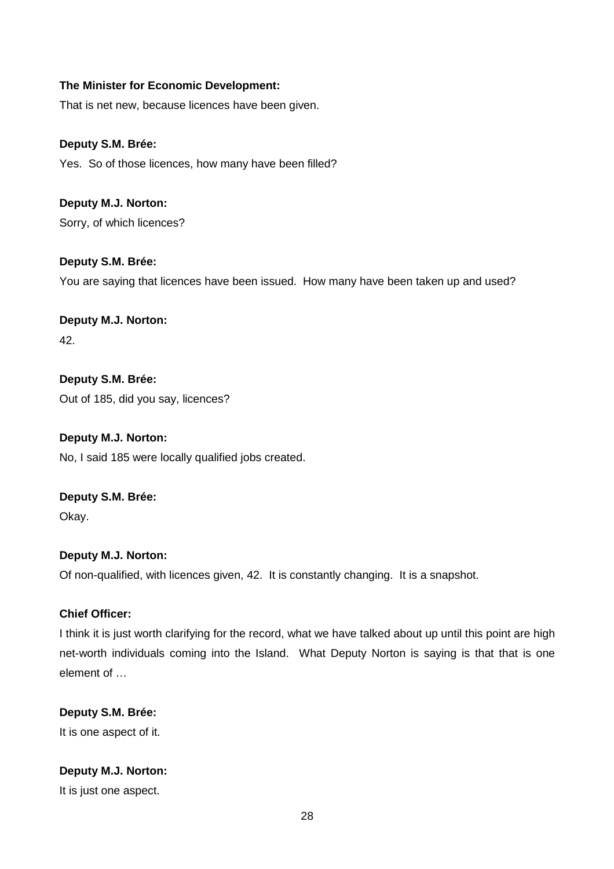That is net new, because licences have been given.

# **Deputy S.M. Brée:**

Yes. So of those licences, how many have been filled?

**Deputy M.J. Norton:** Sorry, of which licences?

**Deputy S.M. Brée:** You are saying that licences have been issued. How many have been taken up and used?

**Deputy M.J. Norton:** 42.

**Deputy S.M. Brée:** Out of 185, did you say, licences?

**Deputy M.J. Norton:** No, I said 185 were locally qualified jobs created.

**Deputy S.M. Brée:** Okay.

**Deputy M.J. Norton:** Of non-qualified, with licences given, 42. It is constantly changing. It is a snapshot.

## **Chief Officer:**

I think it is just worth clarifying for the record, what we have talked about up until this point are high net-worth individuals coming into the Island. What Deputy Norton is saying is that that is one element of …

**Deputy S.M. Brée:** It is one aspect of it.

**Deputy M.J. Norton:**

It is just one aspect.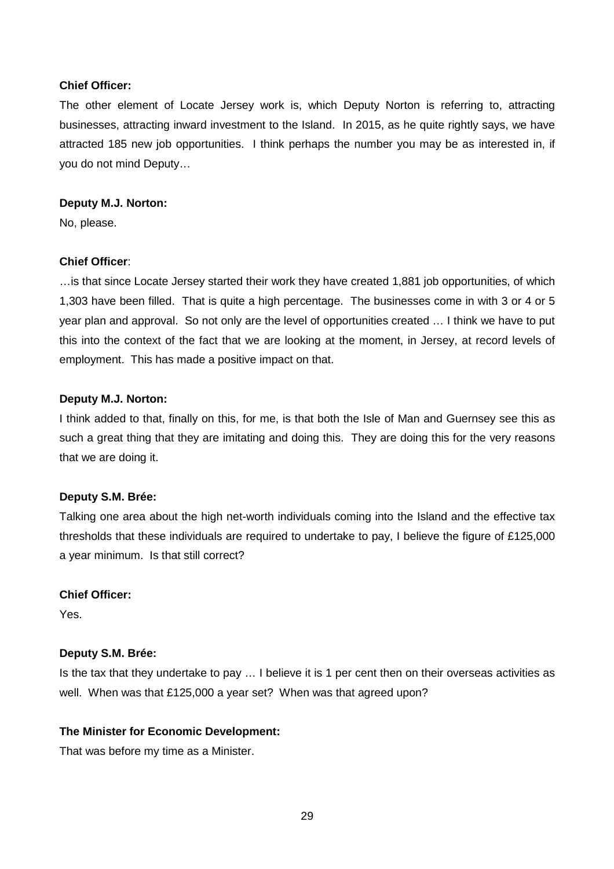## **Chief Officer:**

The other element of Locate Jersey work is, which Deputy Norton is referring to, attracting businesses, attracting inward investment to the Island. In 2015, as he quite rightly says, we have attracted 185 new job opportunities. I think perhaps the number you may be as interested in, if you do not mind Deputy…

#### **Deputy M.J. Norton:**

No, please.

## **Chief Officer**:

…is that since Locate Jersey started their work they have created 1,881 job opportunities, of which 1,303 have been filled. That is quite a high percentage. The businesses come in with 3 or 4 or 5 year plan and approval. So not only are the level of opportunities created … I think we have to put this into the context of the fact that we are looking at the moment, in Jersey, at record levels of employment. This has made a positive impact on that.

## **Deputy M.J. Norton:**

I think added to that, finally on this, for me, is that both the Isle of Man and Guernsey see this as such a great thing that they are imitating and doing this. They are doing this for the very reasons that we are doing it.

## **Deputy S.M. Brée:**

Talking one area about the high net-worth individuals coming into the Island and the effective tax thresholds that these individuals are required to undertake to pay, I believe the figure of £125,000 a year minimum. Is that still correct?

## **Chief Officer:**

Yes.

## **Deputy S.M. Brée:**

Is the tax that they undertake to pay … I believe it is 1 per cent then on their overseas activities as well. When was that £125,000 a year set? When was that agreed upon?

## **The Minister for Economic Development:**

That was before my time as a Minister.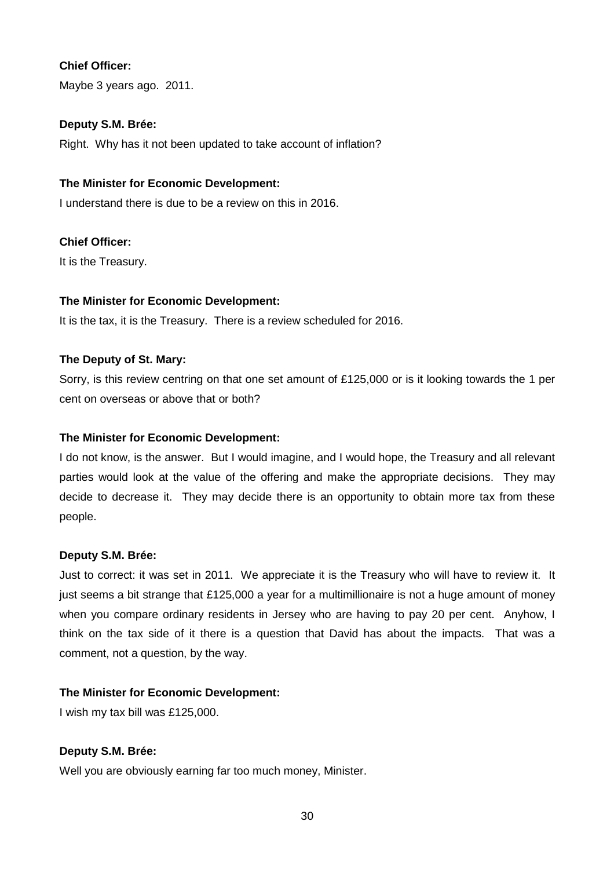# **Chief Officer:**

Maybe 3 years ago. 2011.

## **Deputy S.M. Brée:**

Right. Why has it not been updated to take account of inflation?

## **The Minister for Economic Development:**

I understand there is due to be a review on this in 2016.

## **Chief Officer:**

It is the Treasury.

## **The Minister for Economic Development:**

It is the tax, it is the Treasury. There is a review scheduled for 2016.

## **The Deputy of St. Mary:**

Sorry, is this review centring on that one set amount of £125,000 or is it looking towards the 1 per cent on overseas or above that or both?

## **The Minister for Economic Development:**

I do not know, is the answer. But I would imagine, and I would hope, the Treasury and all relevant parties would look at the value of the offering and make the appropriate decisions. They may decide to decrease it. They may decide there is an opportunity to obtain more tax from these people.

## **Deputy S.M. Brée:**

Just to correct: it was set in 2011. We appreciate it is the Treasury who will have to review it. It just seems a bit strange that £125,000 a year for a multimillionaire is not a huge amount of money when you compare ordinary residents in Jersey who are having to pay 20 per cent. Anyhow, I think on the tax side of it there is a question that David has about the impacts. That was a comment, not a question, by the way.

#### **The Minister for Economic Development:**

I wish my tax bill was £125,000.

## **Deputy S.M. Brée:**

Well you are obviously earning far too much money, Minister.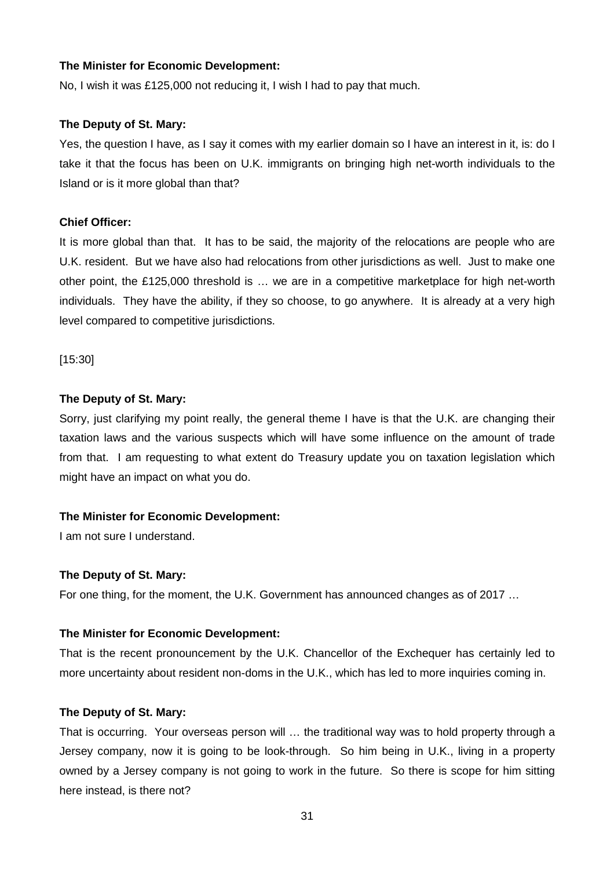No, I wish it was £125,000 not reducing it, I wish I had to pay that much.

#### **The Deputy of St. Mary:**

Yes, the question I have, as I say it comes with my earlier domain so I have an interest in it, is: do I take it that the focus has been on U.K. immigrants on bringing high net-worth individuals to the Island or is it more global than that?

## **Chief Officer:**

It is more global than that. It has to be said, the majority of the relocations are people who are U.K. resident. But we have also had relocations from other jurisdictions as well. Just to make one other point, the £125,000 threshold is … we are in a competitive marketplace for high net-worth individuals. They have the ability, if they so choose, to go anywhere. It is already at a very high level compared to competitive jurisdictions.

[15:30]

#### **The Deputy of St. Mary:**

Sorry, just clarifying my point really, the general theme I have is that the U.K. are changing their taxation laws and the various suspects which will have some influence on the amount of trade from that. I am requesting to what extent do Treasury update you on taxation legislation which might have an impact on what you do.

## **The Minister for Economic Development:**

I am not sure I understand.

## **The Deputy of St. Mary:**

For one thing, for the moment, the U.K. Government has announced changes as of 2017 …

## **The Minister for Economic Development:**

That is the recent pronouncement by the U.K. Chancellor of the Exchequer has certainly led to more uncertainty about resident non-doms in the U.K., which has led to more inquiries coming in.

## **The Deputy of St. Mary:**

That is occurring. Your overseas person will … the traditional way was to hold property through a Jersey company, now it is going to be look-through. So him being in U.K., living in a property owned by a Jersey company is not going to work in the future. So there is scope for him sitting here instead, is there not?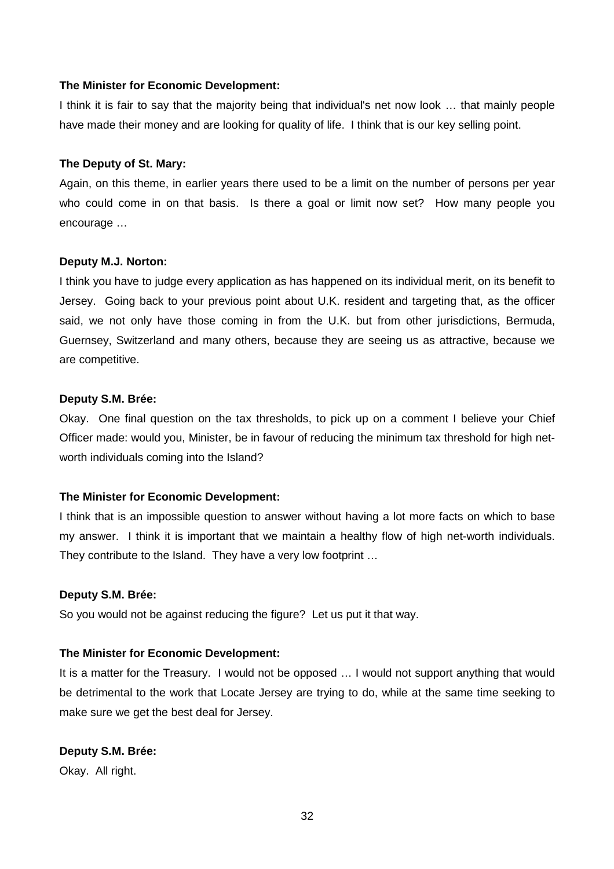I think it is fair to say that the majority being that individual's net now look … that mainly people have made their money and are looking for quality of life. I think that is our key selling point.

#### **The Deputy of St. Mary:**

Again, on this theme, in earlier years there used to be a limit on the number of persons per year who could come in on that basis. Is there a goal or limit now set? How many people you encourage …

## **Deputy M.J. Norton:**

I think you have to judge every application as has happened on its individual merit, on its benefit to Jersey. Going back to your previous point about U.K. resident and targeting that, as the officer said, we not only have those coming in from the U.K. but from other jurisdictions, Bermuda, Guernsey, Switzerland and many others, because they are seeing us as attractive, because we are competitive.

#### **Deputy S.M. Brée:**

Okay. One final question on the tax thresholds, to pick up on a comment I believe your Chief Officer made: would you, Minister, be in favour of reducing the minimum tax threshold for high networth individuals coming into the Island?

## **The Minister for Economic Development:**

I think that is an impossible question to answer without having a lot more facts on which to base my answer. I think it is important that we maintain a healthy flow of high net-worth individuals. They contribute to the Island. They have a very low footprint …

## **Deputy S.M. Brée:**

So you would not be against reducing the figure? Let us put it that way.

## **The Minister for Economic Development:**

It is a matter for the Treasury. I would not be opposed … I would not support anything that would be detrimental to the work that Locate Jersey are trying to do, while at the same time seeking to make sure we get the best deal for Jersey.

## **Deputy S.M. Brée:**

Okay. All right.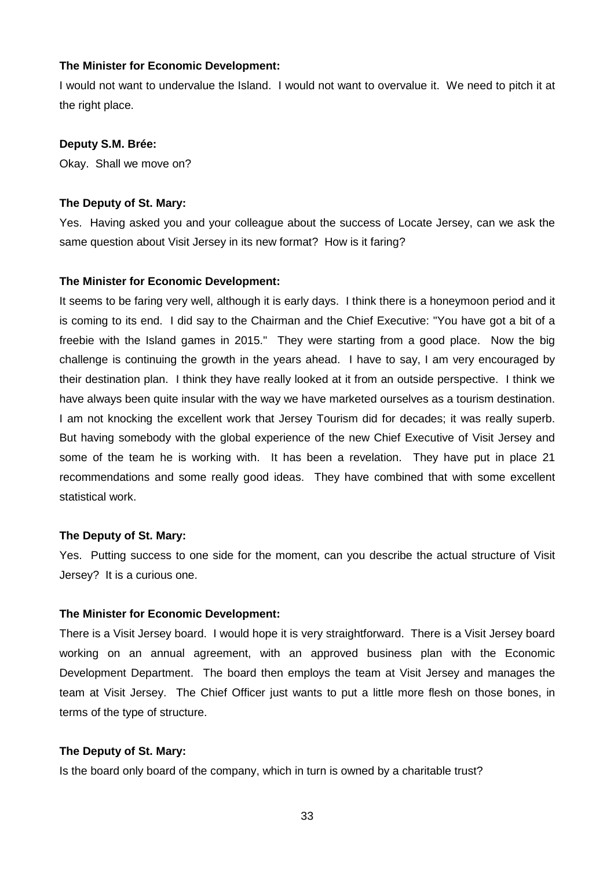I would not want to undervalue the Island. I would not want to overvalue it. We need to pitch it at the right place.

#### **Deputy S.M. Brée:**

Okay. Shall we move on?

#### **The Deputy of St. Mary:**

Yes. Having asked you and your colleague about the success of Locate Jersey, can we ask the same question about Visit Jersey in its new format? How is it faring?

#### **The Minister for Economic Development:**

It seems to be faring very well, although it is early days. I think there is a honeymoon period and it is coming to its end. I did say to the Chairman and the Chief Executive: "You have got a bit of a freebie with the Island games in 2015." They were starting from a good place. Now the big challenge is continuing the growth in the years ahead. I have to say, I am very encouraged by their destination plan. I think they have really looked at it from an outside perspective. I think we have always been quite insular with the way we have marketed ourselves as a tourism destination. I am not knocking the excellent work that Jersey Tourism did for decades; it was really superb. But having somebody with the global experience of the new Chief Executive of Visit Jersey and some of the team he is working with. It has been a revelation. They have put in place 21 recommendations and some really good ideas. They have combined that with some excellent statistical work.

#### **The Deputy of St. Mary:**

Yes. Putting success to one side for the moment, can you describe the actual structure of Visit Jersey? It is a curious one.

## **The Minister for Economic Development:**

There is a Visit Jersey board. I would hope it is very straightforward. There is a Visit Jersey board working on an annual agreement, with an approved business plan with the Economic Development Department. The board then employs the team at Visit Jersey and manages the team at Visit Jersey. The Chief Officer just wants to put a little more flesh on those bones, in terms of the type of structure.

#### **The Deputy of St. Mary:**

Is the board only board of the company, which in turn is owned by a charitable trust?

33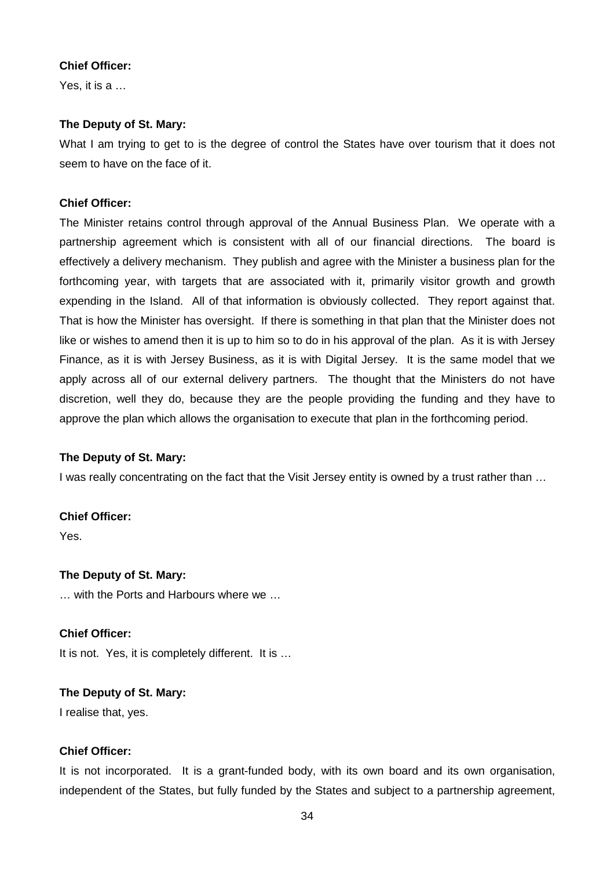## **Chief Officer:**

Yes, it is a …

# **The Deputy of St. Mary:**

What I am trying to get to is the degree of control the States have over tourism that it does not seem to have on the face of it.

# **Chief Officer:**

The Minister retains control through approval of the Annual Business Plan. We operate with a partnership agreement which is consistent with all of our financial directions. The board is effectively a delivery mechanism. They publish and agree with the Minister a business plan for the forthcoming year, with targets that are associated with it, primarily visitor growth and growth expending in the Island. All of that information is obviously collected. They report against that. That is how the Minister has oversight. If there is something in that plan that the Minister does not like or wishes to amend then it is up to him so to do in his approval of the plan. As it is with Jersey Finance, as it is with Jersey Business, as it is with Digital Jersey. It is the same model that we apply across all of our external delivery partners. The thought that the Ministers do not have discretion, well they do, because they are the people providing the funding and they have to approve the plan which allows the organisation to execute that plan in the forthcoming period.

## **The Deputy of St. Mary:**

I was really concentrating on the fact that the Visit Jersey entity is owned by a trust rather than …

## **Chief Officer:**

Yes.

# **The Deputy of St. Mary:**

… with the Ports and Harbours where we …

# **Chief Officer:**

It is not. Yes, it is completely different. It is …

## **The Deputy of St. Mary:**

I realise that, yes.

# **Chief Officer:**

It is not incorporated. It is a grant-funded body, with its own board and its own organisation, independent of the States, but fully funded by the States and subject to a partnership agreement,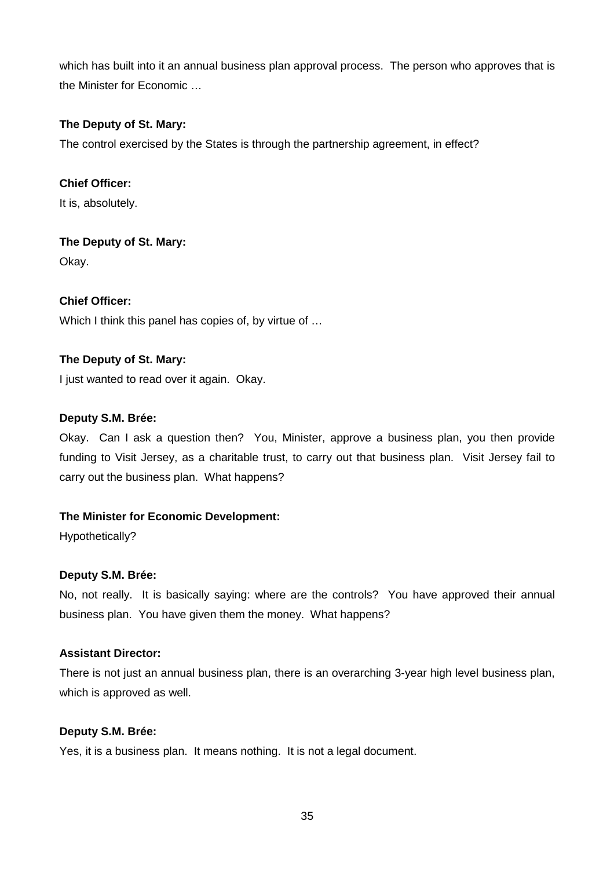which has built into it an annual business plan approval process. The person who approves that is the Minister for Economic …

# **The Deputy of St. Mary:**

The control exercised by the States is through the partnership agreement, in effect?

**Chief Officer:**

It is, absolutely.

**The Deputy of St. Mary:** Okay.

**Chief Officer:** Which I think this panel has copies of, by virtue of …

# **The Deputy of St. Mary:**

I just wanted to read over it again. Okay.

# **Deputy S.M. Brée:**

Okay. Can I ask a question then? You, Minister, approve a business plan, you then provide funding to Visit Jersey, as a charitable trust, to carry out that business plan. Visit Jersey fail to carry out the business plan. What happens?

# **The Minister for Economic Development:**

Hypothetically?

# **Deputy S.M. Brée:**

No, not really. It is basically saying: where are the controls? You have approved their annual business plan. You have given them the money. What happens?

## **Assistant Director:**

There is not just an annual business plan, there is an overarching 3-year high level business plan, which is approved as well.

# **Deputy S.M. Brée:**

Yes, it is a business plan. It means nothing. It is not a legal document.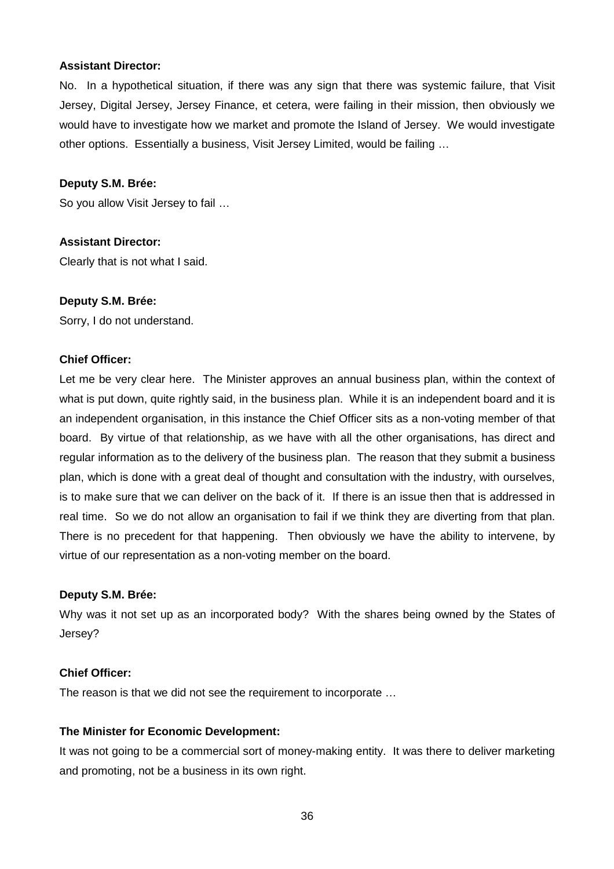#### **Assistant Director:**

No. In a hypothetical situation, if there was any sign that there was systemic failure, that Visit Jersey, Digital Jersey, Jersey Finance, et cetera, were failing in their mission, then obviously we would have to investigate how we market and promote the Island of Jersey. We would investigate other options. Essentially a business, Visit Jersey Limited, would be failing …

#### **Deputy S.M. Brée:**

So you allow Visit Jersey to fail …

#### **Assistant Director:**

Clearly that is not what I said.

#### **Deputy S.M. Brée:**

Sorry, I do not understand.

#### **Chief Officer:**

Let me be very clear here. The Minister approves an annual business plan, within the context of what is put down, quite rightly said, in the business plan. While it is an independent board and it is an independent organisation, in this instance the Chief Officer sits as a non-voting member of that board. By virtue of that relationship, as we have with all the other organisations, has direct and regular information as to the delivery of the business plan. The reason that they submit a business plan, which is done with a great deal of thought and consultation with the industry, with ourselves, is to make sure that we can deliver on the back of it. If there is an issue then that is addressed in real time. So we do not allow an organisation to fail if we think they are diverting from that plan. There is no precedent for that happening. Then obviously we have the ability to intervene, by virtue of our representation as a non-voting member on the board.

#### **Deputy S.M. Brée:**

Why was it not set up as an incorporated body? With the shares being owned by the States of Jersey?

#### **Chief Officer:**

The reason is that we did not see the requirement to incorporate …

#### **The Minister for Economic Development:**

It was not going to be a commercial sort of money-making entity. It was there to deliver marketing and promoting, not be a business in its own right.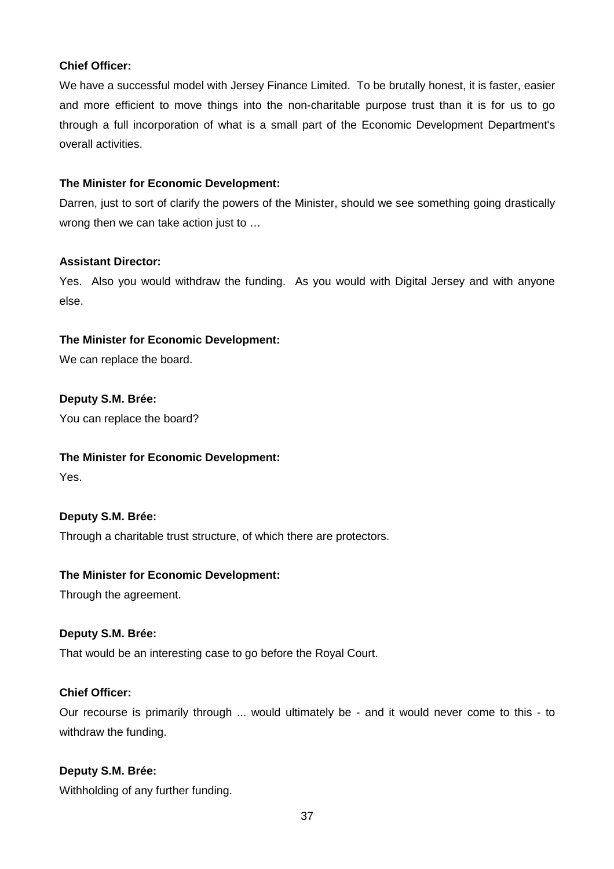## **Chief Officer:**

We have a successful model with Jersey Finance Limited. To be brutally honest, it is faster, easier and more efficient to move things into the non-charitable purpose trust than it is for us to go through a full incorporation of what is a small part of the Economic Development Department's overall activities.

## **The Minister for Economic Development:**

Darren, just to sort of clarify the powers of the Minister, should we see something going drastically wrong then we can take action just to …

## **Assistant Director:**

Yes. Also you would withdraw the funding. As you would with Digital Jersey and with anyone else.

## **The Minister for Economic Development:**

We can replace the board.

# **Deputy S.M. Brée:**

You can replace the board?

## **The Minister for Economic Development:**

Yes.

# **Deputy S.M. Brée:**

Through a charitable trust structure, of which there are protectors.

## **The Minister for Economic Development:**

Through the agreement.

## **Deputy S.M. Brée:**

That would be an interesting case to go before the Royal Court.

## **Chief Officer:**

Our recourse is primarily through ... would ultimately be - and it would never come to this - to withdraw the funding.

# **Deputy S.M. Brée:**

Withholding of any further funding.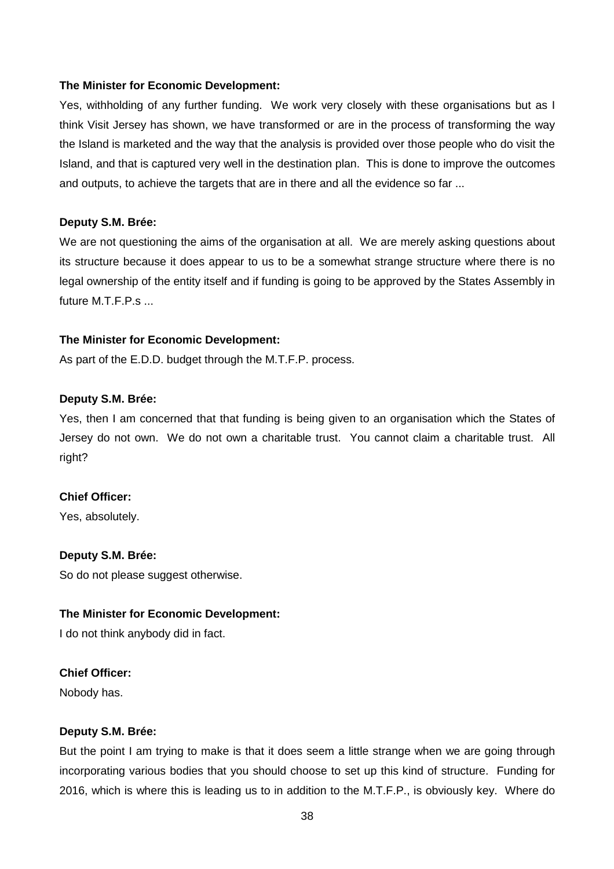Yes, withholding of any further funding. We work very closely with these organisations but as I think Visit Jersey has shown, we have transformed or are in the process of transforming the way the Island is marketed and the way that the analysis is provided over those people who do visit the Island, and that is captured very well in the destination plan. This is done to improve the outcomes and outputs, to achieve the targets that are in there and all the evidence so far ...

#### **Deputy S.M. Brée:**

We are not questioning the aims of the organisation at all. We are merely asking questions about its structure because it does appear to us to be a somewhat strange structure where there is no legal ownership of the entity itself and if funding is going to be approved by the States Assembly in future M.T.F.P.s ...

#### **The Minister for Economic Development:**

As part of the E.D.D. budget through the M.T.F.P. process.

#### **Deputy S.M. Brée:**

Yes, then I am concerned that that funding is being given to an organisation which the States of Jersey do not own. We do not own a charitable trust. You cannot claim a charitable trust. All right?

## **Chief Officer:**

Yes, absolutely.

## **Deputy S.M. Brée:**

So do not please suggest otherwise.

## **The Minister for Economic Development:**

I do not think anybody did in fact.

## **Chief Officer:**

Nobody has.

## **Deputy S.M. Brée:**

But the point I am trying to make is that it does seem a little strange when we are going through incorporating various bodies that you should choose to set up this kind of structure. Funding for 2016, which is where this is leading us to in addition to the M.T.F.P., is obviously key. Where do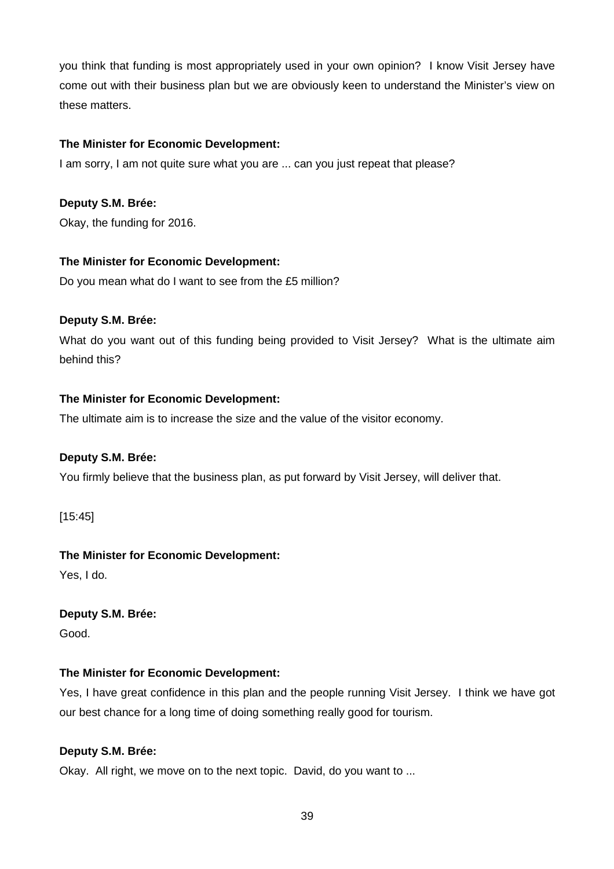you think that funding is most appropriately used in your own opinion? I know Visit Jersey have come out with their business plan but we are obviously keen to understand the Minister's view on these matters.

# **The Minister for Economic Development:**

I am sorry, I am not quite sure what you are ... can you just repeat that please?

# **Deputy S.M. Brée:**

Okay, the funding for 2016.

## **The Minister for Economic Development:**

Do you mean what do I want to see from the £5 million?

## **Deputy S.M. Brée:**

What do you want out of this funding being provided to Visit Jersey? What is the ultimate aim behind this?

## **The Minister for Economic Development:**

The ultimate aim is to increase the size and the value of the visitor economy.

## **Deputy S.M. Brée:**

You firmly believe that the business plan, as put forward by Visit Jersey, will deliver that.

[15:45]

# **The Minister for Economic Development:**

Yes, I do.

# **Deputy S.M. Brée:**

Good.

# **The Minister for Economic Development:**

Yes, I have great confidence in this plan and the people running Visit Jersey. I think we have got our best chance for a long time of doing something really good for tourism.

## **Deputy S.M. Brée:**

Okay. All right, we move on to the next topic. David, do you want to ...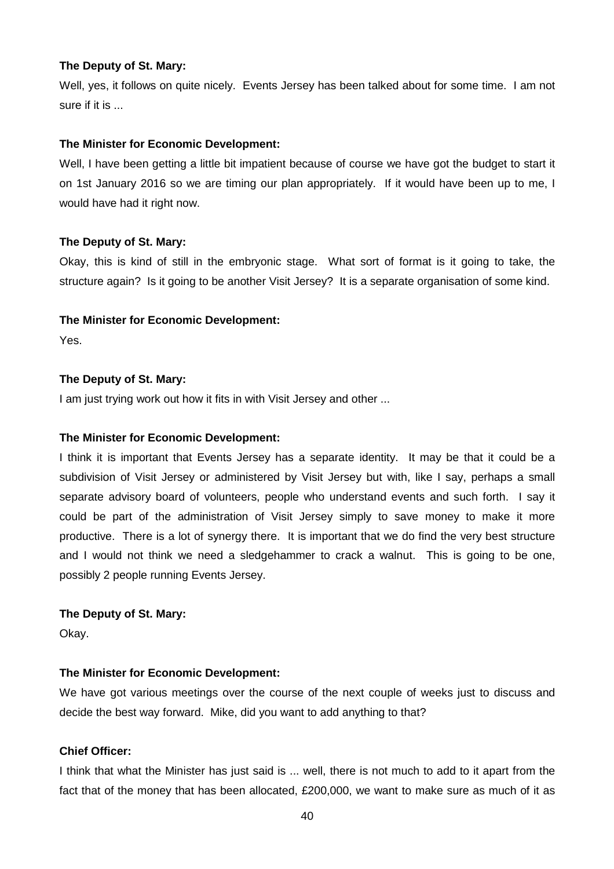#### **The Deputy of St. Mary:**

Well, yes, it follows on quite nicely. Events Jersey has been talked about for some time. I am not sure if it is ...

## **The Minister for Economic Development:**

Well, I have been getting a little bit impatient because of course we have got the budget to start it on 1st January 2016 so we are timing our plan appropriately. If it would have been up to me, I would have had it right now.

## **The Deputy of St. Mary:**

Okay, this is kind of still in the embryonic stage. What sort of format is it going to take, the structure again? Is it going to be another Visit Jersey? It is a separate organisation of some kind.

## **The Minister for Economic Development:**

Yes.

## **The Deputy of St. Mary:**

I am just trying work out how it fits in with Visit Jersey and other ...

## **The Minister for Economic Development:**

I think it is important that Events Jersey has a separate identity. It may be that it could be a subdivision of Visit Jersey or administered by Visit Jersey but with, like I say, perhaps a small separate advisory board of volunteers, people who understand events and such forth. I say it could be part of the administration of Visit Jersey simply to save money to make it more productive. There is a lot of synergy there. It is important that we do find the very best structure and I would not think we need a sledgehammer to crack a walnut. This is going to be one, possibly 2 people running Events Jersey.

## **The Deputy of St. Mary:**

Okay.

# **The Minister for Economic Development:**

We have got various meetings over the course of the next couple of weeks just to discuss and decide the best way forward. Mike, did you want to add anything to that?

## **Chief Officer:**

I think that what the Minister has just said is ... well, there is not much to add to it apart from the fact that of the money that has been allocated, £200,000, we want to make sure as much of it as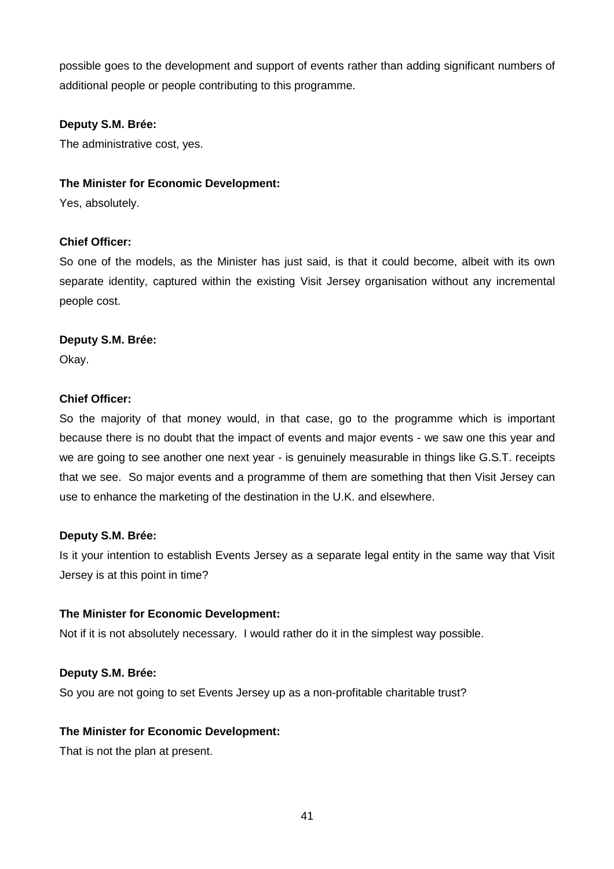possible goes to the development and support of events rather than adding significant numbers of additional people or people contributing to this programme.

## **Deputy S.M. Brée:**

The administrative cost, yes.

## **The Minister for Economic Development:**

Yes, absolutely.

## **Chief Officer:**

So one of the models, as the Minister has just said, is that it could become, albeit with its own separate identity, captured within the existing Visit Jersey organisation without any incremental people cost.

## **Deputy S.M. Brée:**

Okay.

## **Chief Officer:**

So the majority of that money would, in that case, go to the programme which is important because there is no doubt that the impact of events and major events - we saw one this year and we are going to see another one next year - is genuinely measurable in things like G.S.T. receipts that we see. So major events and a programme of them are something that then Visit Jersey can use to enhance the marketing of the destination in the U.K. and elsewhere.

## **Deputy S.M. Brée:**

Is it your intention to establish Events Jersey as a separate legal entity in the same way that Visit Jersey is at this point in time?

## **The Minister for Economic Development:**

Not if it is not absolutely necessary. I would rather do it in the simplest way possible.

## **Deputy S.M. Brée:**

So you are not going to set Events Jersey up as a non-profitable charitable trust?

## **The Minister for Economic Development:**

That is not the plan at present.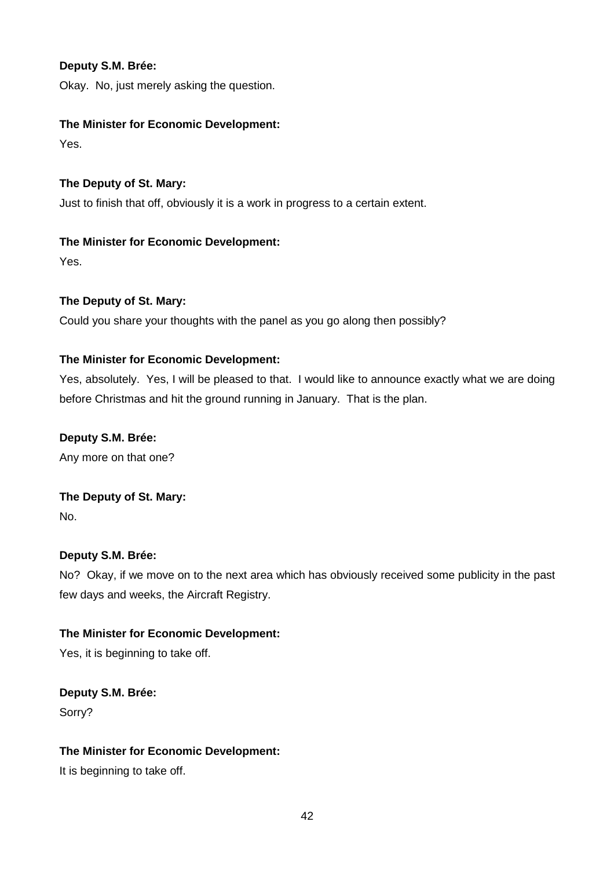Okay. No, just merely asking the question.

# **The Minister for Economic Development:**

Yes.

**The Deputy of St. Mary:**  Just to finish that off, obviously it is a work in progress to a certain extent.

# **The Minister for Economic Development:**  Yes.

# **The Deputy of St. Mary:**

Could you share your thoughts with the panel as you go along then possibly?

# **The Minister for Economic Development:**

Yes, absolutely. Yes, I will be pleased to that. I would like to announce exactly what we are doing before Christmas and hit the ground running in January. That is the plan.

# **Deputy S.M. Brée:**

Any more on that one?

# **The Deputy of St. Mary:**

No.

# **Deputy S.M. Brée:**

No? Okay, if we move on to the next area which has obviously received some publicity in the past few days and weeks, the Aircraft Registry.

# **The Minister for Economic Development:**

Yes, it is beginning to take off.

**Deputy S.M. Brée:**  Sorry?

# **The Minister for Economic Development:**

It is beginning to take off.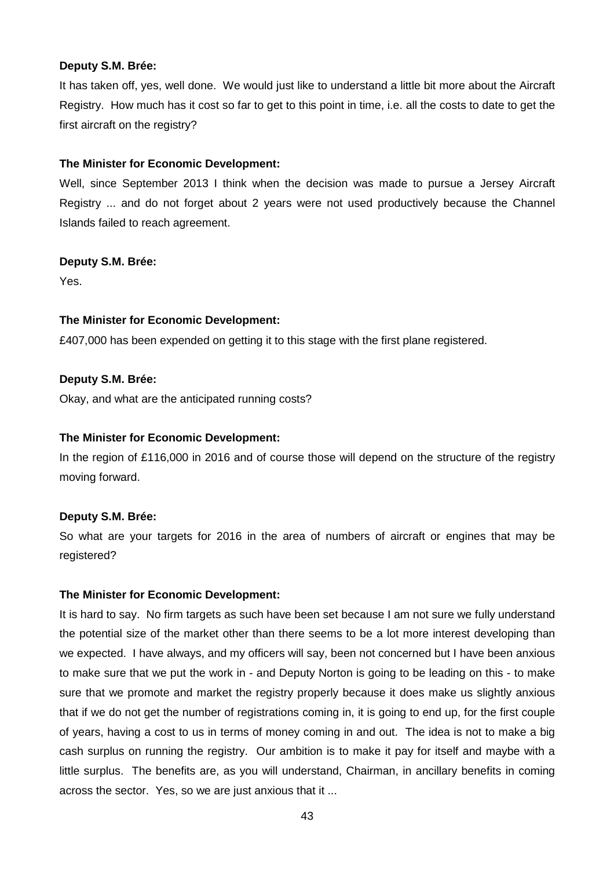It has taken off, yes, well done. We would just like to understand a little bit more about the Aircraft Registry. How much has it cost so far to get to this point in time, i.e. all the costs to date to get the first aircraft on the registry?

#### **The Minister for Economic Development:**

Well, since September 2013 I think when the decision was made to pursue a Jersey Aircraft Registry ... and do not forget about 2 years were not used productively because the Channel Islands failed to reach agreement.

#### **Deputy S.M. Brée:**

Yes.

## **The Minister for Economic Development:**

£407,000 has been expended on getting it to this stage with the first plane registered.

#### **Deputy S.M. Brée:**

Okay, and what are the anticipated running costs?

#### **The Minister for Economic Development:**

In the region of £116,000 in 2016 and of course those will depend on the structure of the registry moving forward.

## **Deputy S.M. Brée:**

So what are your targets for 2016 in the area of numbers of aircraft or engines that may be registered?

# **The Minister for Economic Development:**

It is hard to say. No firm targets as such have been set because I am not sure we fully understand the potential size of the market other than there seems to be a lot more interest developing than we expected. I have always, and my officers will say, been not concerned but I have been anxious to make sure that we put the work in - and Deputy Norton is going to be leading on this - to make sure that we promote and market the registry properly because it does make us slightly anxious that if we do not get the number of registrations coming in, it is going to end up, for the first couple of years, having a cost to us in terms of money coming in and out. The idea is not to make a big cash surplus on running the registry. Our ambition is to make it pay for itself and maybe with a little surplus. The benefits are, as you will understand, Chairman, in ancillary benefits in coming across the sector. Yes, so we are just anxious that it ...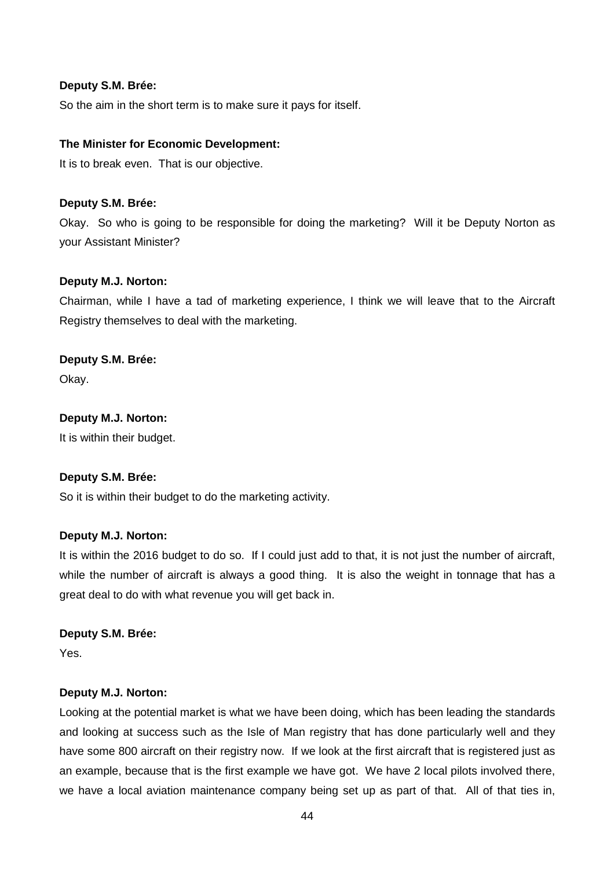So the aim in the short term is to make sure it pays for itself.

#### **The Minister for Economic Development:**

It is to break even. That is our objective.

#### **Deputy S.M. Brée:**

Okay. So who is going to be responsible for doing the marketing? Will it be Deputy Norton as your Assistant Minister?

#### **Deputy M.J. Norton:**

Chairman, while I have a tad of marketing experience, I think we will leave that to the Aircraft Registry themselves to deal with the marketing.

## **Deputy S.M. Brée:**

Okay.

#### **Deputy M.J. Norton:**

It is within their budget.

#### **Deputy S.M. Brée:**

So it is within their budget to do the marketing activity.

#### **Deputy M.J. Norton:**

It is within the 2016 budget to do so. If I could just add to that, it is not just the number of aircraft, while the number of aircraft is always a good thing. It is also the weight in tonnage that has a great deal to do with what revenue you will get back in.

#### **Deputy S.M. Brée:**

Yes.

#### **Deputy M.J. Norton:**

Looking at the potential market is what we have been doing, which has been leading the standards and looking at success such as the Isle of Man registry that has done particularly well and they have some 800 aircraft on their registry now. If we look at the first aircraft that is registered just as an example, because that is the first example we have got. We have 2 local pilots involved there, we have a local aviation maintenance company being set up as part of that. All of that ties in,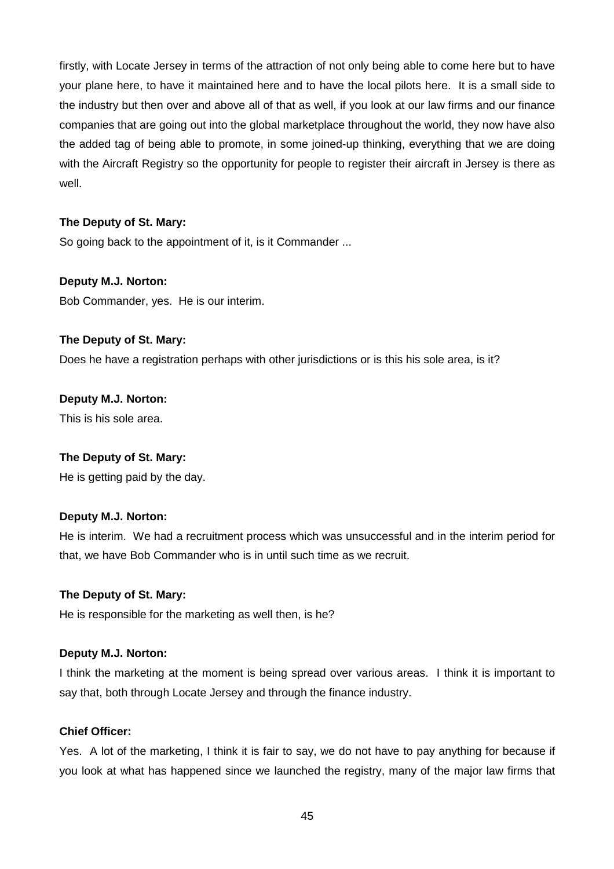firstly, with Locate Jersey in terms of the attraction of not only being able to come here but to have your plane here, to have it maintained here and to have the local pilots here. It is a small side to the industry but then over and above all of that as well, if you look at our law firms and our finance companies that are going out into the global marketplace throughout the world, they now have also the added tag of being able to promote, in some joined-up thinking, everything that we are doing with the Aircraft Registry so the opportunity for people to register their aircraft in Jersey is there as well.

## **The Deputy of St. Mary:**

So going back to the appointment of it, is it Commander ...

## **Deputy M.J. Norton:**

Bob Commander, yes. He is our interim.

## **The Deputy of St. Mary:**

Does he have a registration perhaps with other jurisdictions or is this his sole area, is it?

## **Deputy M.J. Norton:**

This is his sole area.

## **The Deputy of St. Mary:**

He is getting paid by the day.

## **Deputy M.J. Norton:**

He is interim. We had a recruitment process which was unsuccessful and in the interim period for that, we have Bob Commander who is in until such time as we recruit.

## **The Deputy of St. Mary:**

He is responsible for the marketing as well then, is he?

## **Deputy M.J. Norton:**

I think the marketing at the moment is being spread over various areas. I think it is important to say that, both through Locate Jersey and through the finance industry.

# **Chief Officer:**

Yes. A lot of the marketing, I think it is fair to say, we do not have to pay anything for because if you look at what has happened since we launched the registry, many of the major law firms that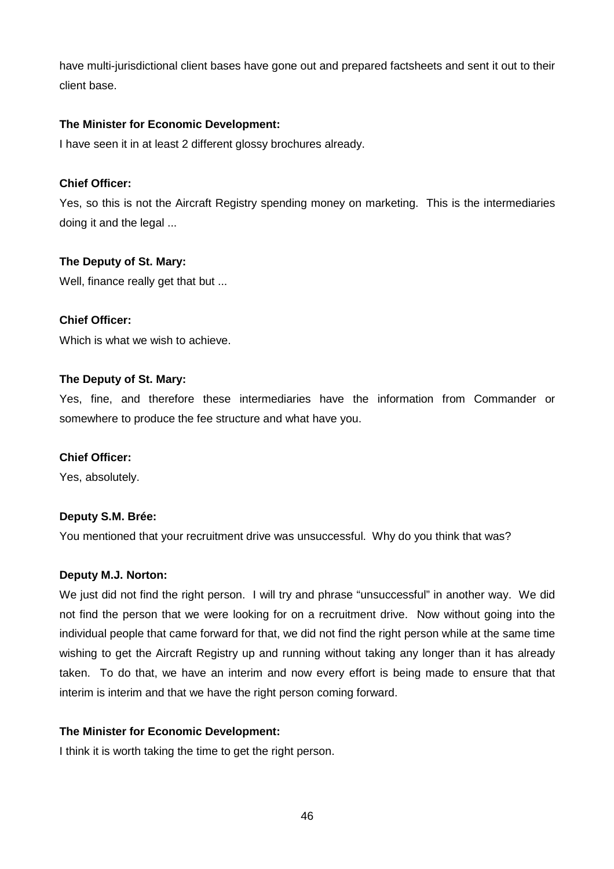have multi-jurisdictional client bases have gone out and prepared factsheets and sent it out to their client base.

## **The Minister for Economic Development:**

I have seen it in at least 2 different glossy brochures already.

## **Chief Officer:**

Yes, so this is not the Aircraft Registry spending money on marketing. This is the intermediaries doing it and the legal ...

## **The Deputy of St. Mary:**

Well, finance really get that but ...

## **Chief Officer:**

Which is what we wish to achieve.

## **The Deputy of St. Mary:**

Yes, fine, and therefore these intermediaries have the information from Commander or somewhere to produce the fee structure and what have you.

## **Chief Officer:**

Yes, absolutely.

## **Deputy S.M. Brée:**

You mentioned that your recruitment drive was unsuccessful. Why do you think that was?

## **Deputy M.J. Norton:**

We just did not find the right person. I will try and phrase "unsuccessful" in another way. We did not find the person that we were looking for on a recruitment drive. Now without going into the individual people that came forward for that, we did not find the right person while at the same time wishing to get the Aircraft Registry up and running without taking any longer than it has already taken. To do that, we have an interim and now every effort is being made to ensure that that interim is interim and that we have the right person coming forward.

## **The Minister for Economic Development:**

I think it is worth taking the time to get the right person.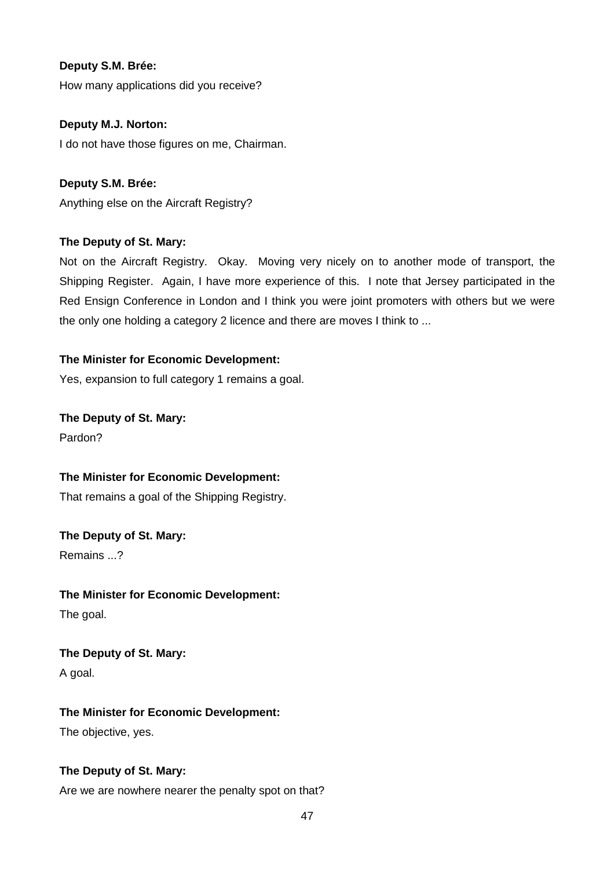How many applications did you receive?

## **Deputy M.J. Norton:**

I do not have those figures on me, Chairman.

# **Deputy S.M. Brée:**

Anything else on the Aircraft Registry?

## **The Deputy of St. Mary:**

Not on the Aircraft Registry. Okay. Moving very nicely on to another mode of transport, the Shipping Register. Again, I have more experience of this. I note that Jersey participated in the Red Ensign Conference in London and I think you were joint promoters with others but we were the only one holding a category 2 licence and there are moves I think to ...

## **The Minister for Economic Development:**

Yes, expansion to full category 1 remains a goal.

**The Deputy of St. Mary:**  Pardon?

## **The Minister for Economic Development:**

That remains a goal of the Shipping Registry.

**The Deputy of St. Mary:** 

Remains ...?

# **The Minister for Economic Development:**  The goal.

**The Deputy of St. Mary:**  A goal.

# **The Minister for Economic Development:**

The objective, yes.

# **The Deputy of St. Mary:**

Are we are nowhere nearer the penalty spot on that?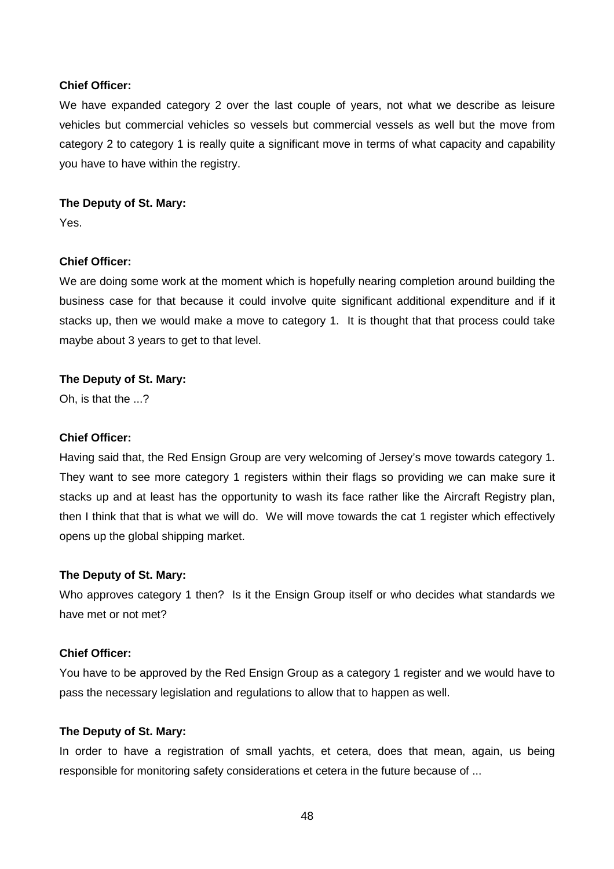#### **Chief Officer:**

We have expanded category 2 over the last couple of years, not what we describe as leisure vehicles but commercial vehicles so vessels but commercial vessels as well but the move from category 2 to category 1 is really quite a significant move in terms of what capacity and capability you have to have within the registry.

## **The Deputy of St. Mary:**

Yes.

# **Chief Officer:**

We are doing some work at the moment which is hopefully nearing completion around building the business case for that because it could involve quite significant additional expenditure and if it stacks up, then we would make a move to category 1. It is thought that that process could take maybe about 3 years to get to that level.

## **The Deputy of St. Mary:**

Oh, is that the ...?

## **Chief Officer:**

Having said that, the Red Ensign Group are very welcoming of Jersey's move towards category 1. They want to see more category 1 registers within their flags so providing we can make sure it stacks up and at least has the opportunity to wash its face rather like the Aircraft Registry plan, then I think that that is what we will do. We will move towards the cat 1 register which effectively opens up the global shipping market.

## **The Deputy of St. Mary:**

Who approves category 1 then? Is it the Ensign Group itself or who decides what standards we have met or not met?

## **Chief Officer:**

You have to be approved by the Red Ensign Group as a category 1 register and we would have to pass the necessary legislation and regulations to allow that to happen as well.

## **The Deputy of St. Mary:**

In order to have a registration of small yachts, et cetera, does that mean, again, us being responsible for monitoring safety considerations et cetera in the future because of ...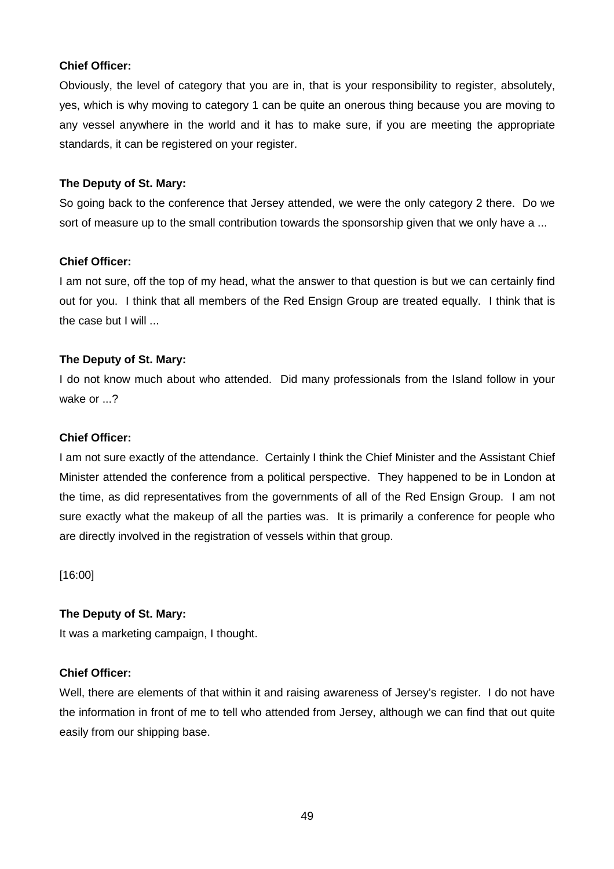## **Chief Officer:**

Obviously, the level of category that you are in, that is your responsibility to register, absolutely, yes, which is why moving to category 1 can be quite an onerous thing because you are moving to any vessel anywhere in the world and it has to make sure, if you are meeting the appropriate standards, it can be registered on your register.

#### **The Deputy of St. Mary:**

So going back to the conference that Jersey attended, we were the only category 2 there. Do we sort of measure up to the small contribution towards the sponsorship given that we only have a ...

#### **Chief Officer:**

I am not sure, off the top of my head, what the answer to that question is but we can certainly find out for you. I think that all members of the Red Ensign Group are treated equally. I think that is the case but I will ...

## **The Deputy of St. Mary:**

I do not know much about who attended. Did many professionals from the Island follow in your wake or ...?

#### **Chief Officer:**

I am not sure exactly of the attendance. Certainly I think the Chief Minister and the Assistant Chief Minister attended the conference from a political perspective. They happened to be in London at the time, as did representatives from the governments of all of the Red Ensign Group. I am not sure exactly what the makeup of all the parties was. It is primarily a conference for people who are directly involved in the registration of vessels within that group.

[16:00]

## **The Deputy of St. Mary:**

It was a marketing campaign, I thought.

## **Chief Officer:**

Well, there are elements of that within it and raising awareness of Jersey's register. I do not have the information in front of me to tell who attended from Jersey, although we can find that out quite easily from our shipping base.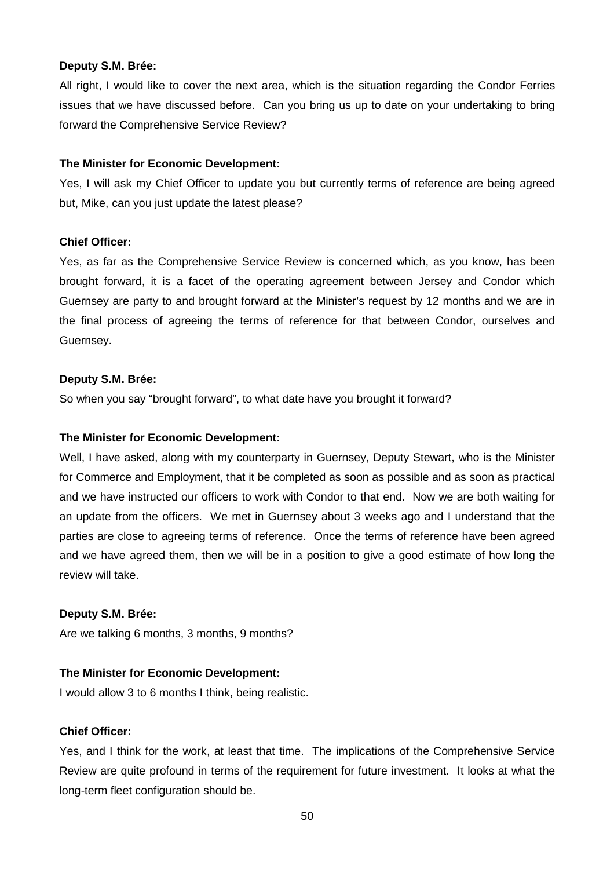All right, I would like to cover the next area, which is the situation regarding the Condor Ferries issues that we have discussed before. Can you bring us up to date on your undertaking to bring forward the Comprehensive Service Review?

#### **The Minister for Economic Development:**

Yes, I will ask my Chief Officer to update you but currently terms of reference are being agreed but, Mike, can you just update the latest please?

#### **Chief Officer:**

Yes, as far as the Comprehensive Service Review is concerned which, as you know, has been brought forward, it is a facet of the operating agreement between Jersey and Condor which Guernsey are party to and brought forward at the Minister's request by 12 months and we are in the final process of agreeing the terms of reference for that between Condor, ourselves and Guernsey.

#### **Deputy S.M. Brée:**

So when you say "brought forward", to what date have you brought it forward?

#### **The Minister for Economic Development:**

Well, I have asked, along with my counterparty in Guernsey, Deputy Stewart, who is the Minister for Commerce and Employment, that it be completed as soon as possible and as soon as practical and we have instructed our officers to work with Condor to that end. Now we are both waiting for an update from the officers. We met in Guernsey about 3 weeks ago and I understand that the parties are close to agreeing terms of reference. Once the terms of reference have been agreed and we have agreed them, then we will be in a position to give a good estimate of how long the review will take.

#### **Deputy S.M. Brée:**

Are we talking 6 months, 3 months, 9 months?

## **The Minister for Economic Development:**

I would allow 3 to 6 months I think, being realistic.

## **Chief Officer:**

Yes, and I think for the work, at least that time. The implications of the Comprehensive Service Review are quite profound in terms of the requirement for future investment. It looks at what the long-term fleet configuration should be.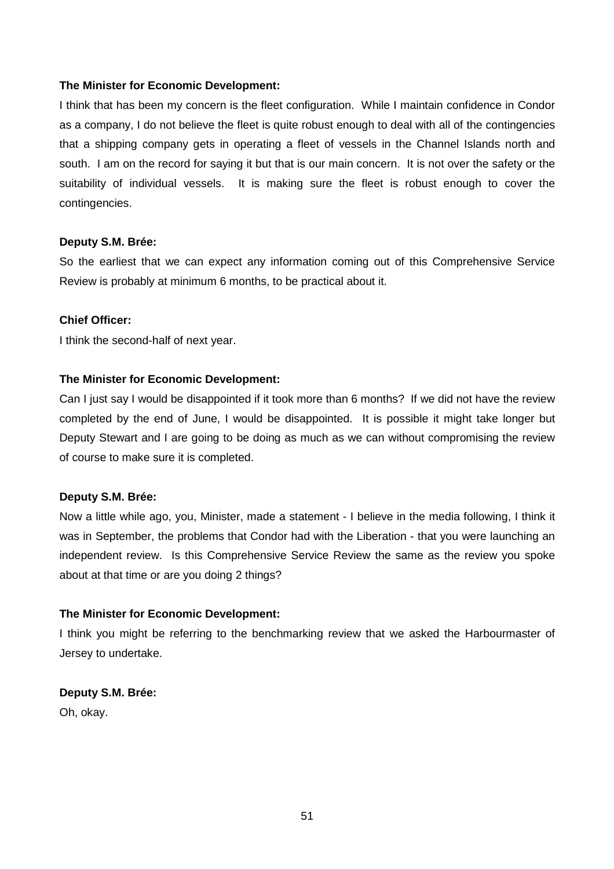I think that has been my concern is the fleet configuration. While I maintain confidence in Condor as a company, I do not believe the fleet is quite robust enough to deal with all of the contingencies that a shipping company gets in operating a fleet of vessels in the Channel Islands north and south. I am on the record for saying it but that is our main concern. It is not over the safety or the suitability of individual vessels. It is making sure the fleet is robust enough to cover the contingencies.

#### **Deputy S.M. Brée:**

So the earliest that we can expect any information coming out of this Comprehensive Service Review is probably at minimum 6 months, to be practical about it.

## **Chief Officer:**

I think the second-half of next year.

## **The Minister for Economic Development:**

Can I just say I would be disappointed if it took more than 6 months? If we did not have the review completed by the end of June, I would be disappointed. It is possible it might take longer but Deputy Stewart and I are going to be doing as much as we can without compromising the review of course to make sure it is completed.

#### **Deputy S.M. Brée:**

Now a little while ago, you, Minister, made a statement - I believe in the media following, I think it was in September, the problems that Condor had with the Liberation - that you were launching an independent review. Is this Comprehensive Service Review the same as the review you spoke about at that time or are you doing 2 things?

## **The Minister for Economic Development:**

I think you might be referring to the benchmarking review that we asked the Harbourmaster of Jersey to undertake.

## **Deputy S.M. Brée:**

Oh, okay.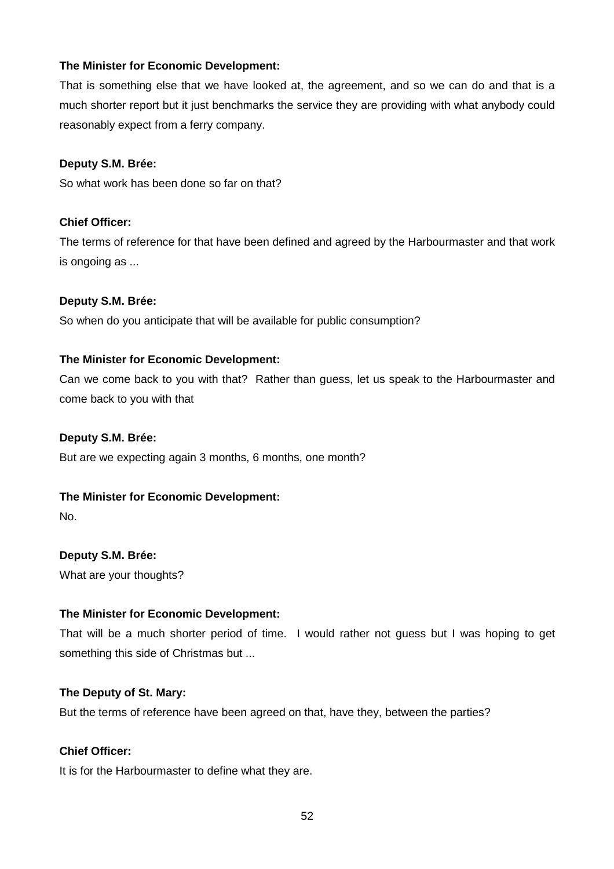That is something else that we have looked at, the agreement, and so we can do and that is a much shorter report but it just benchmarks the service they are providing with what anybody could reasonably expect from a ferry company.

## **Deputy S.M. Brée:**

So what work has been done so far on that?

## **Chief Officer:**

The terms of reference for that have been defined and agreed by the Harbourmaster and that work is ongoing as ...

## **Deputy S.M. Brée:**

So when do you anticipate that will be available for public consumption?

#### **The Minister for Economic Development:**

Can we come back to you with that? Rather than guess, let us speak to the Harbourmaster and come back to you with that

#### **Deputy S.M. Brée:**

But are we expecting again 3 months, 6 months, one month?

## **The Minister for Economic Development:**

No.

**Deputy S.M. Brée:**  What are your thoughts?

## **The Minister for Economic Development:**

That will be a much shorter period of time. I would rather not guess but I was hoping to get something this side of Christmas but ...

#### **The Deputy of St. Mary:**

But the terms of reference have been agreed on that, have they, between the parties?

## **Chief Officer:**

It is for the Harbourmaster to define what they are.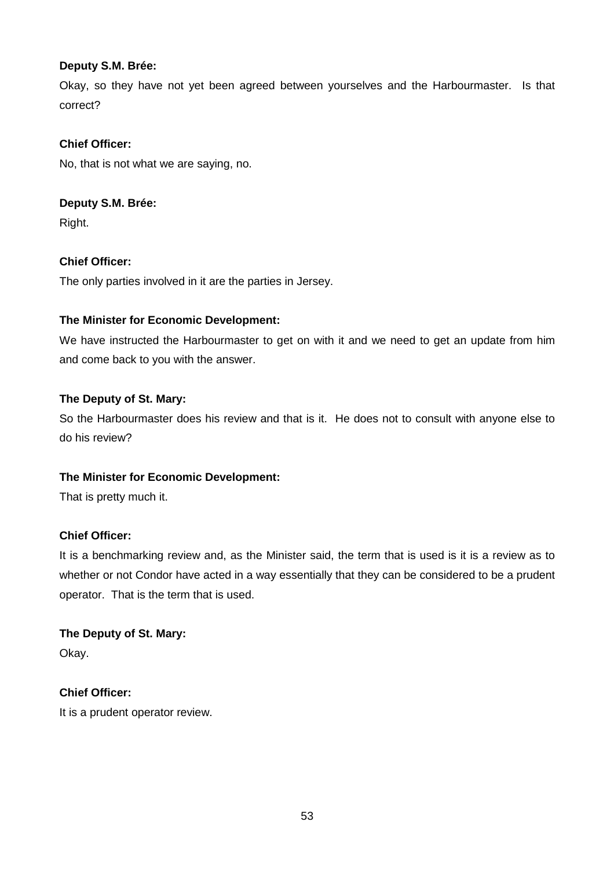Okay, so they have not yet been agreed between yourselves and the Harbourmaster. Is that correct?

# **Chief Officer:**

No, that is not what we are saying, no.

# **Deputy S.M. Brée:**

Right.

# **Chief Officer:**

The only parties involved in it are the parties in Jersey.

# **The Minister for Economic Development:**

We have instructed the Harbourmaster to get on with it and we need to get an update from him and come back to you with the answer.

## **The Deputy of St. Mary:**

So the Harbourmaster does his review and that is it. He does not to consult with anyone else to do his review?

# **The Minister for Economic Development:**

That is pretty much it.

# **Chief Officer:**

It is a benchmarking review and, as the Minister said, the term that is used is it is a review as to whether or not Condor have acted in a way essentially that they can be considered to be a prudent operator. That is the term that is used.

**The Deputy of St. Mary:**  Okay.

# **Chief Officer:**

It is a prudent operator review.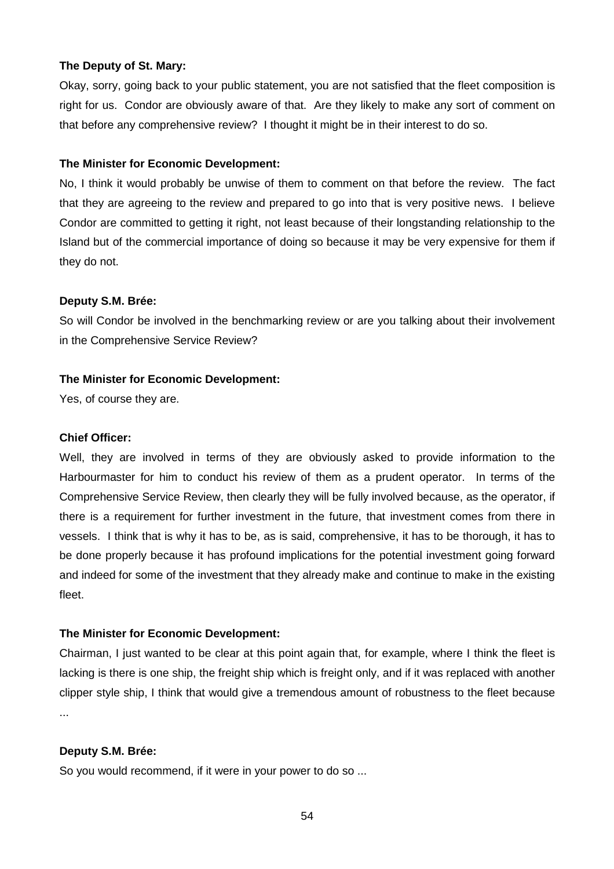#### **The Deputy of St. Mary:**

Okay, sorry, going back to your public statement, you are not satisfied that the fleet composition is right for us. Condor are obviously aware of that. Are they likely to make any sort of comment on that before any comprehensive review? I thought it might be in their interest to do so.

#### **The Minister for Economic Development:**

No, I think it would probably be unwise of them to comment on that before the review. The fact that they are agreeing to the review and prepared to go into that is very positive news. I believe Condor are committed to getting it right, not least because of their longstanding relationship to the Island but of the commercial importance of doing so because it may be very expensive for them if they do not.

## **Deputy S.M. Brée:**

So will Condor be involved in the benchmarking review or are you talking about their involvement in the Comprehensive Service Review?

#### **The Minister for Economic Development:**

Yes, of course they are.

#### **Chief Officer:**

Well, they are involved in terms of they are obviously asked to provide information to the Harbourmaster for him to conduct his review of them as a prudent operator. In terms of the Comprehensive Service Review, then clearly they will be fully involved because, as the operator, if there is a requirement for further investment in the future, that investment comes from there in vessels. I think that is why it has to be, as is said, comprehensive, it has to be thorough, it has to be done properly because it has profound implications for the potential investment going forward and indeed for some of the investment that they already make and continue to make in the existing fleet.

## **The Minister for Economic Development:**

Chairman, I just wanted to be clear at this point again that, for example, where I think the fleet is lacking is there is one ship, the freight ship which is freight only, and if it was replaced with another clipper style ship, I think that would give a tremendous amount of robustness to the fleet because ...

## **Deputy S.M. Brée:**

So you would recommend, if it were in your power to do so ...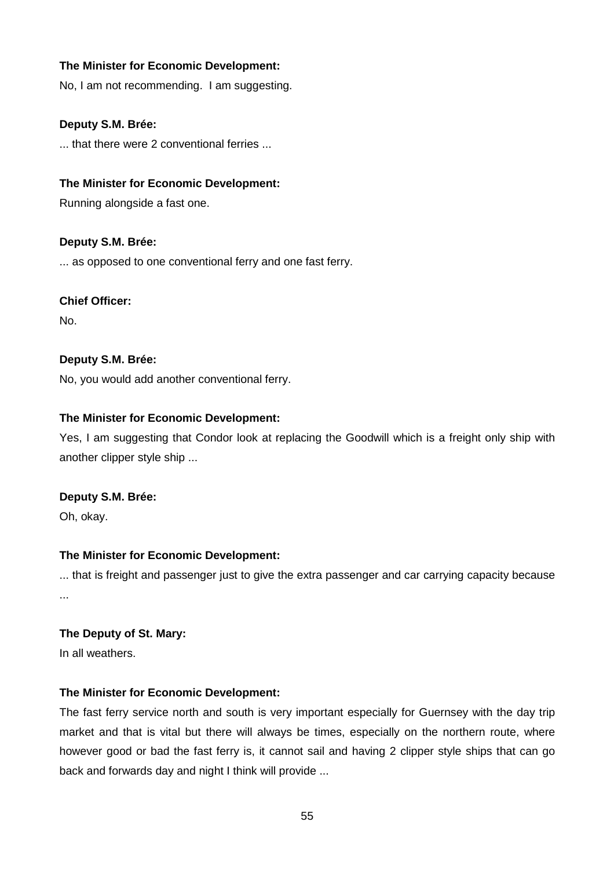No, I am not recommending. I am suggesting.

## **Deputy S.M. Brée:**

... that there were 2 conventional ferries ...

## **The Minister for Economic Development:**

Running alongside a fast one.

## **Deputy S.M. Brée:**

... as opposed to one conventional ferry and one fast ferry.

## **Chief Officer:**

No.

## **Deputy S.M. Brée:**

No, you would add another conventional ferry.

## **The Minister for Economic Development:**

Yes, I am suggesting that Condor look at replacing the Goodwill which is a freight only ship with another clipper style ship ...

## **Deputy S.M. Brée:**

Oh, okay.

## **The Minister for Economic Development:**

... that is freight and passenger just to give the extra passenger and car carrying capacity because ...

## **The Deputy of St. Mary:**

In all weathers.

## **The Minister for Economic Development:**

The fast ferry service north and south is very important especially for Guernsey with the day trip market and that is vital but there will always be times, especially on the northern route, where however good or bad the fast ferry is, it cannot sail and having 2 clipper style ships that can go back and forwards day and night I think will provide ...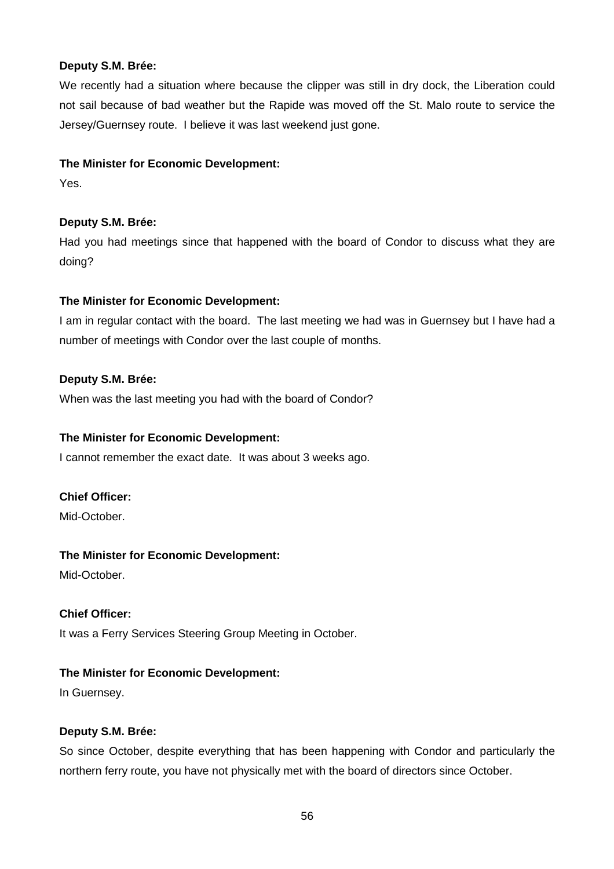We recently had a situation where because the clipper was still in dry dock, the Liberation could not sail because of bad weather but the Rapide was moved off the St. Malo route to service the Jersey/Guernsey route. I believe it was last weekend just gone.

## **The Minister for Economic Development:**

Yes.

# **Deputy S.M. Brée:**

Had you had meetings since that happened with the board of Condor to discuss what they are doing?

# **The Minister for Economic Development:**

I am in regular contact with the board. The last meeting we had was in Guernsey but I have had a number of meetings with Condor over the last couple of months.

# **Deputy S.M. Brée:**

When was the last meeting you had with the board of Condor?

# **The Minister for Economic Development:**

I cannot remember the exact date. It was about 3 weeks ago.

# **Chief Officer:**

Mid-October.

# **The Minister for Economic Development:**

Mid-October.

# **Chief Officer:**

It was a Ferry Services Steering Group Meeting in October.

# **The Minister for Economic Development:**

In Guernsey.

# **Deputy S.M. Brée:**

So since October, despite everything that has been happening with Condor and particularly the northern ferry route, you have not physically met with the board of directors since October.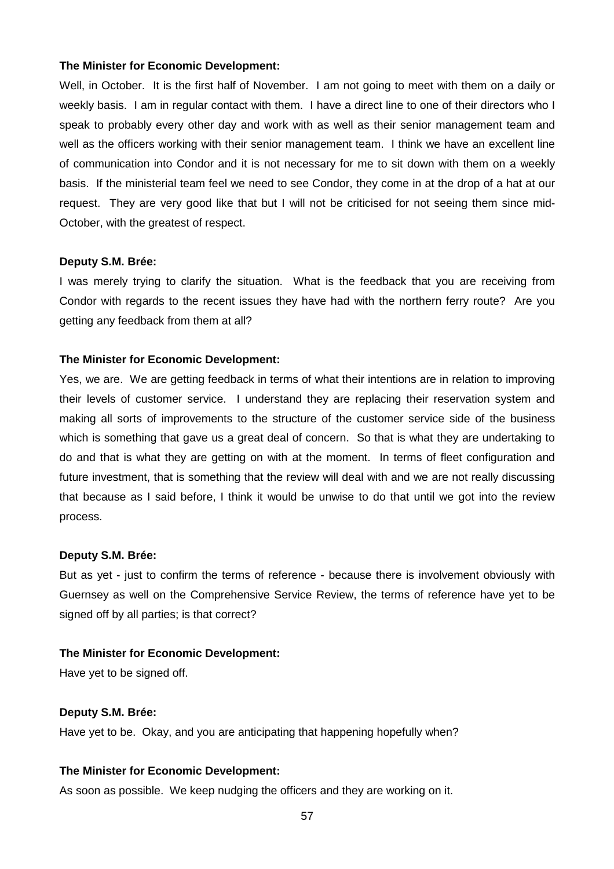Well, in October. It is the first half of November. I am not going to meet with them on a daily or weekly basis. I am in regular contact with them. I have a direct line to one of their directors who I speak to probably every other day and work with as well as their senior management team and well as the officers working with their senior management team. I think we have an excellent line of communication into Condor and it is not necessary for me to sit down with them on a weekly basis. If the ministerial team feel we need to see Condor, they come in at the drop of a hat at our request. They are very good like that but I will not be criticised for not seeing them since mid-October, with the greatest of respect.

#### **Deputy S.M. Brée:**

I was merely trying to clarify the situation. What is the feedback that you are receiving from Condor with regards to the recent issues they have had with the northern ferry route? Are you getting any feedback from them at all?

#### **The Minister for Economic Development:**

Yes, we are. We are getting feedback in terms of what their intentions are in relation to improving their levels of customer service. I understand they are replacing their reservation system and making all sorts of improvements to the structure of the customer service side of the business which is something that gave us a great deal of concern. So that is what they are undertaking to do and that is what they are getting on with at the moment. In terms of fleet configuration and future investment, that is something that the review will deal with and we are not really discussing that because as I said before, I think it would be unwise to do that until we got into the review process.

#### **Deputy S.M. Brée:**

But as yet - just to confirm the terms of reference - because there is involvement obviously with Guernsey as well on the Comprehensive Service Review, the terms of reference have yet to be signed off by all parties; is that correct?

#### **The Minister for Economic Development:**

Have yet to be signed off.

#### **Deputy S.M. Brée:**

Have yet to be. Okay, and you are anticipating that happening hopefully when?

## **The Minister for Economic Development:**

As soon as possible. We keep nudging the officers and they are working on it.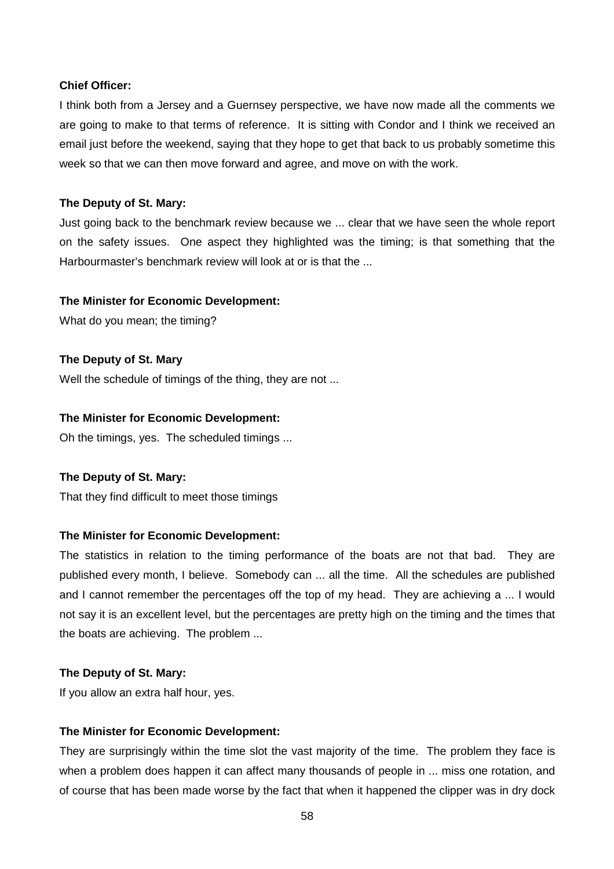#### **Chief Officer:**

I think both from a Jersey and a Guernsey perspective, we have now made all the comments we are going to make to that terms of reference. It is sitting with Condor and I think we received an email just before the weekend, saying that they hope to get that back to us probably sometime this week so that we can then move forward and agree, and move on with the work.

#### **The Deputy of St. Mary:**

Just going back to the benchmark review because we ... clear that we have seen the whole report on the safety issues. One aspect they highlighted was the timing; is that something that the Harbourmaster's benchmark review will look at or is that the ...

#### **The Minister for Economic Development:**

What do you mean; the timing?

**The Deputy of St. Mary**  Well the schedule of timings of the thing, they are not ...

#### **The Minister for Economic Development:**

Oh the timings, yes. The scheduled timings ...

#### **The Deputy of St. Mary:**

That they find difficult to meet those timings

#### **The Minister for Economic Development:**

The statistics in relation to the timing performance of the boats are not that bad. They are published every month, I believe. Somebody can ... all the time. All the schedules are published and I cannot remember the percentages off the top of my head. They are achieving a ... I would not say it is an excellent level, but the percentages are pretty high on the timing and the times that the boats are achieving. The problem ...

#### **The Deputy of St. Mary:**

If you allow an extra half hour, yes.

#### **The Minister for Economic Development:**

They are surprisingly within the time slot the vast majority of the time. The problem they face is when a problem does happen it can affect many thousands of people in ... miss one rotation, and of course that has been made worse by the fact that when it happened the clipper was in dry dock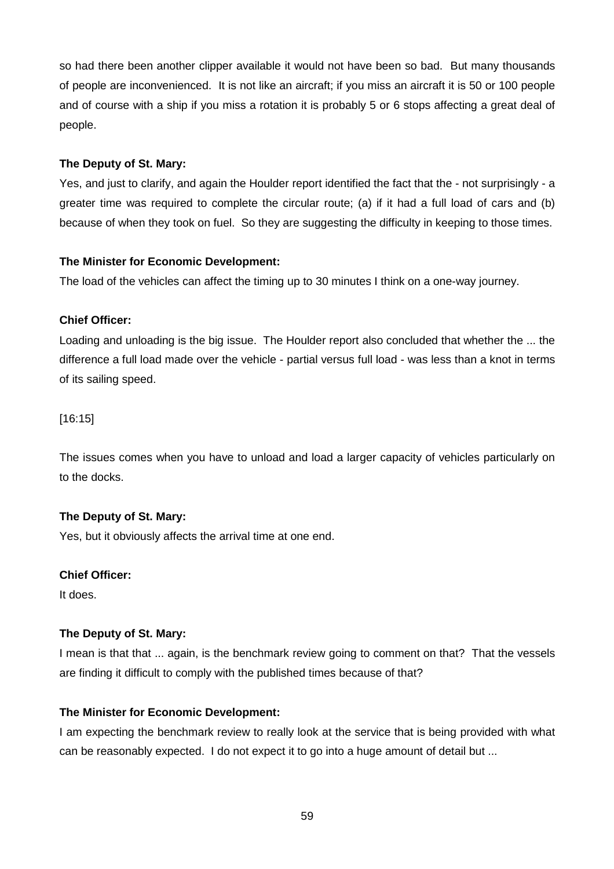so had there been another clipper available it would not have been so bad. But many thousands of people are inconvenienced. It is not like an aircraft; if you miss an aircraft it is 50 or 100 people and of course with a ship if you miss a rotation it is probably 5 or 6 stops affecting a great deal of people.

## **The Deputy of St. Mary:**

Yes, and just to clarify, and again the Houlder report identified the fact that the - not surprisingly - a greater time was required to complete the circular route; (a) if it had a full load of cars and (b) because of when they took on fuel. So they are suggesting the difficulty in keeping to those times.

# **The Minister for Economic Development:**

The load of the vehicles can affect the timing up to 30 minutes I think on a one-way journey.

# **Chief Officer:**

Loading and unloading is the big issue. The Houlder report also concluded that whether the ... the difference a full load made over the vehicle - partial versus full load - was less than a knot in terms of its sailing speed.

[16:15]

The issues comes when you have to unload and load a larger capacity of vehicles particularly on to the docks.

# **The Deputy of St. Mary:**

Yes, but it obviously affects the arrival time at one end.

# **Chief Officer:**

It does.

# **The Deputy of St. Mary:**

I mean is that that ... again, is the benchmark review going to comment on that? That the vessels are finding it difficult to comply with the published times because of that?

# **The Minister for Economic Development:**

I am expecting the benchmark review to really look at the service that is being provided with what can be reasonably expected. I do not expect it to go into a huge amount of detail but ...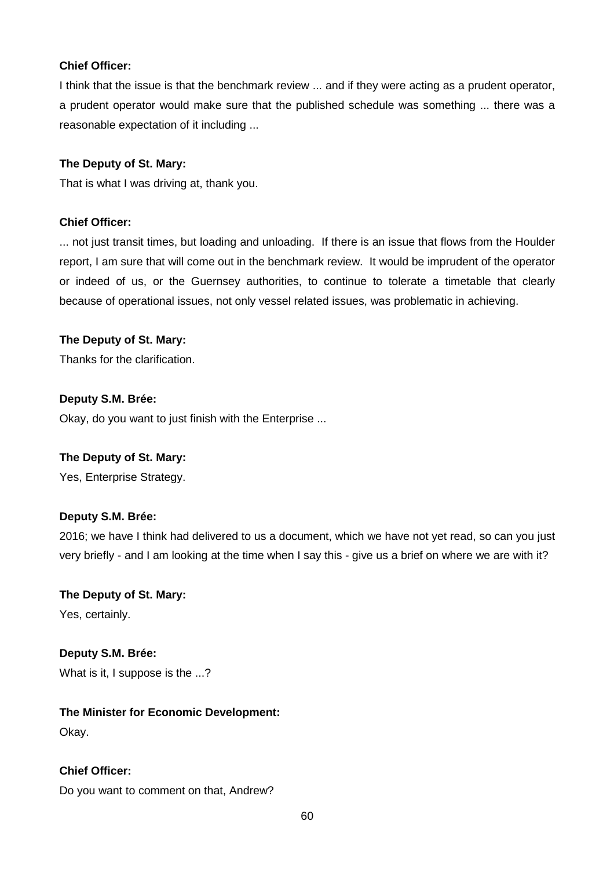## **Chief Officer:**

I think that the issue is that the benchmark review ... and if they were acting as a prudent operator, a prudent operator would make sure that the published schedule was something ... there was a reasonable expectation of it including ...

## **The Deputy of St. Mary:**

That is what I was driving at, thank you.

## **Chief Officer:**

... not just transit times, but loading and unloading. If there is an issue that flows from the Houlder report, I am sure that will come out in the benchmark review. It would be imprudent of the operator or indeed of us, or the Guernsey authorities, to continue to tolerate a timetable that clearly because of operational issues, not only vessel related issues, was problematic in achieving.

## **The Deputy of St. Mary:**

Thanks for the clarification.

# **Deputy S.M. Brée:**

Okay, do you want to just finish with the Enterprise ...

## **The Deputy of St. Mary:**

Yes, Enterprise Strategy.

## **Deputy S.M. Brée:**

2016; we have I think had delivered to us a document, which we have not yet read, so can you just very briefly - and I am looking at the time when I say this - give us a brief on where we are with it?

# **The Deputy of St. Mary:** Yes, certainly.

**Deputy S.M. Brée:**  What is it, I suppose is the ...?

# **The Minister for Economic Development:**

Okay.

# **Chief Officer:**

Do you want to comment on that, Andrew?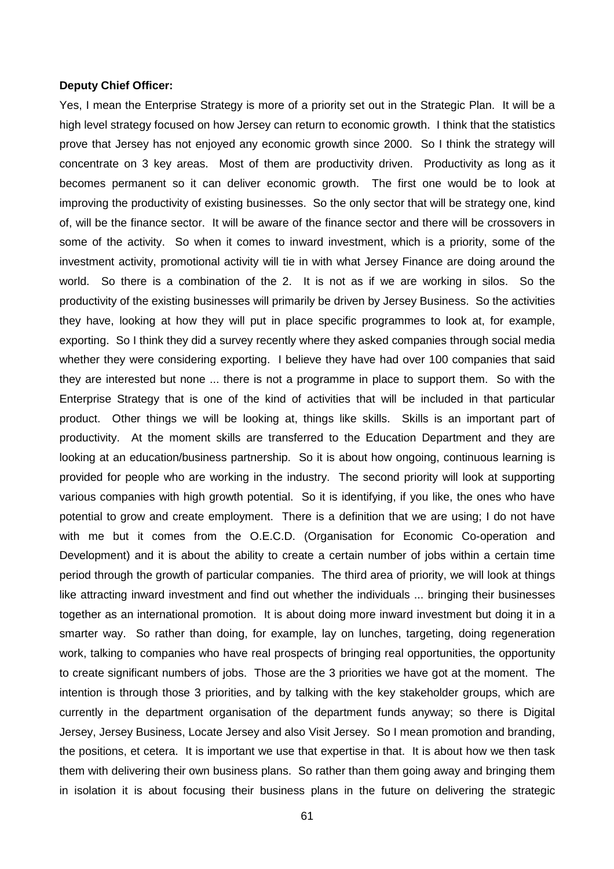#### **Deputy Chief Officer:**

Yes, I mean the Enterprise Strategy is more of a priority set out in the Strategic Plan. It will be a high level strategy focused on how Jersey can return to economic growth. I think that the statistics prove that Jersey has not enjoyed any economic growth since 2000. So I think the strategy will concentrate on 3 key areas. Most of them are productivity driven. Productivity as long as it becomes permanent so it can deliver economic growth. The first one would be to look at improving the productivity of existing businesses. So the only sector that will be strategy one, kind of, will be the finance sector. It will be aware of the finance sector and there will be crossovers in some of the activity. So when it comes to inward investment, which is a priority, some of the investment activity, promotional activity will tie in with what Jersey Finance are doing around the world. So there is a combination of the 2. It is not as if we are working in silos. So the productivity of the existing businesses will primarily be driven by Jersey Business. So the activities they have, looking at how they will put in place specific programmes to look at, for example, exporting. So I think they did a survey recently where they asked companies through social media whether they were considering exporting. I believe they have had over 100 companies that said they are interested but none ... there is not a programme in place to support them. So with the Enterprise Strategy that is one of the kind of activities that will be included in that particular product. Other things we will be looking at, things like skills. Skills is an important part of productivity. At the moment skills are transferred to the Education Department and they are looking at an education/business partnership. So it is about how ongoing, continuous learning is provided for people who are working in the industry. The second priority will look at supporting various companies with high growth potential. So it is identifying, if you like, the ones who have potential to grow and create employment. There is a definition that we are using; I do not have with me but it comes from the O.E.C.D. (Organisation for Economic Co-operation and Development) and it is about the ability to create a certain number of jobs within a certain time period through the growth of particular companies. The third area of priority, we will look at things like attracting inward investment and find out whether the individuals ... bringing their businesses together as an international promotion. It is about doing more inward investment but doing it in a smarter way. So rather than doing, for example, lay on lunches, targeting, doing regeneration work, talking to companies who have real prospects of bringing real opportunities, the opportunity to create significant numbers of jobs. Those are the 3 priorities we have got at the moment. The intention is through those 3 priorities, and by talking with the key stakeholder groups, which are currently in the department organisation of the department funds anyway; so there is Digital Jersey, Jersey Business, Locate Jersey and also Visit Jersey. So I mean promotion and branding, the positions, et cetera. It is important we use that expertise in that. It is about how we then task them with delivering their own business plans. So rather than them going away and bringing them in isolation it is about focusing their business plans in the future on delivering the strategic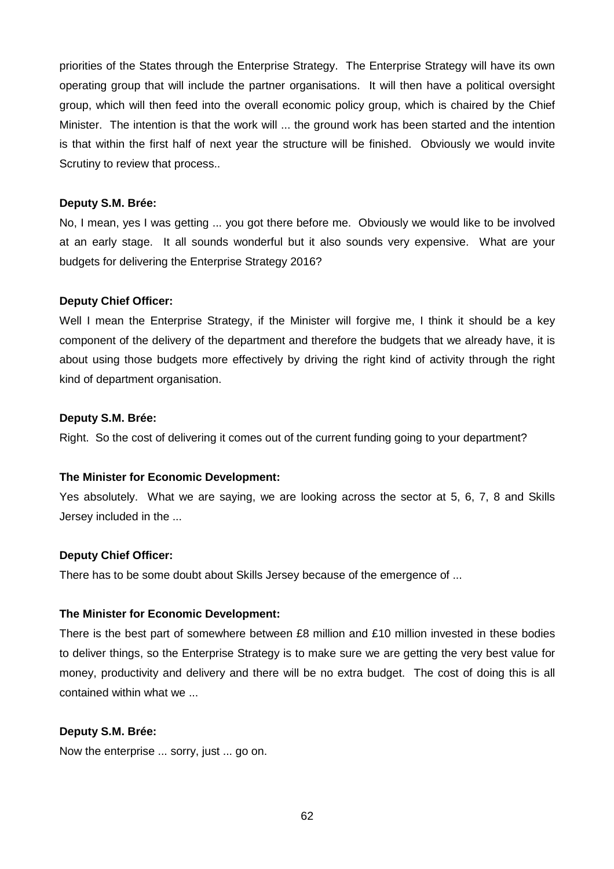priorities of the States through the Enterprise Strategy. The Enterprise Strategy will have its own operating group that will include the partner organisations. It will then have a political oversight group, which will then feed into the overall economic policy group, which is chaired by the Chief Minister. The intention is that the work will ... the ground work has been started and the intention is that within the first half of next year the structure will be finished. Obviously we would invite Scrutiny to review that process..

#### **Deputy S.M. Brée:**

No, I mean, yes I was getting ... you got there before me. Obviously we would like to be involved at an early stage. It all sounds wonderful but it also sounds very expensive. What are your budgets for delivering the Enterprise Strategy 2016?

#### **Deputy Chief Officer:**

Well I mean the Enterprise Strategy, if the Minister will forgive me, I think it should be a key component of the delivery of the department and therefore the budgets that we already have, it is about using those budgets more effectively by driving the right kind of activity through the right kind of department organisation.

#### **Deputy S.M. Brée:**

Right. So the cost of delivering it comes out of the current funding going to your department?

#### **The Minister for Economic Development:**

Yes absolutely. What we are saying, we are looking across the sector at 5, 6, 7, 8 and Skills Jersey included in the ...

## **Deputy Chief Officer:**

There has to be some doubt about Skills Jersey because of the emergence of ...

#### **The Minister for Economic Development:**

There is the best part of somewhere between £8 million and £10 million invested in these bodies to deliver things, so the Enterprise Strategy is to make sure we are getting the very best value for money, productivity and delivery and there will be no extra budget. The cost of doing this is all contained within what we ...

## **Deputy S.M. Brée:**

Now the enterprise ... sorry, just ... go on.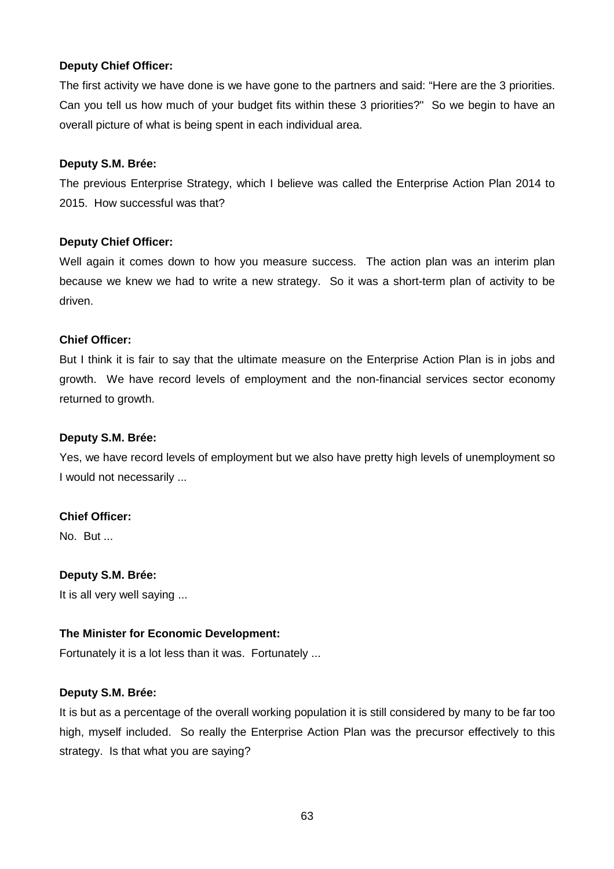## **Deputy Chief Officer:**

The first activity we have done is we have gone to the partners and said: "Here are the 3 priorities. Can you tell us how much of your budget fits within these 3 priorities?" So we begin to have an overall picture of what is being spent in each individual area.

#### **Deputy S.M. Brée:**

The previous Enterprise Strategy, which I believe was called the Enterprise Action Plan 2014 to 2015. How successful was that?

## **Deputy Chief Officer:**

Well again it comes down to how you measure success. The action plan was an interim plan because we knew we had to write a new strategy. So it was a short-term plan of activity to be driven.

## **Chief Officer:**

But I think it is fair to say that the ultimate measure on the Enterprise Action Plan is in jobs and growth. We have record levels of employment and the non-financial services sector economy returned to growth.

## **Deputy S.M. Brée:**

Yes, we have record levels of employment but we also have pretty high levels of unemployment so I would not necessarily ...

## **Chief Officer:**

No. But ...

## **Deputy S.M. Brée:**

It is all very well saying ...

## **The Minister for Economic Development:**

Fortunately it is a lot less than it was. Fortunately ...

## **Deputy S.M. Brée:**

It is but as a percentage of the overall working population it is still considered by many to be far too high, myself included. So really the Enterprise Action Plan was the precursor effectively to this strategy. Is that what you are saying?